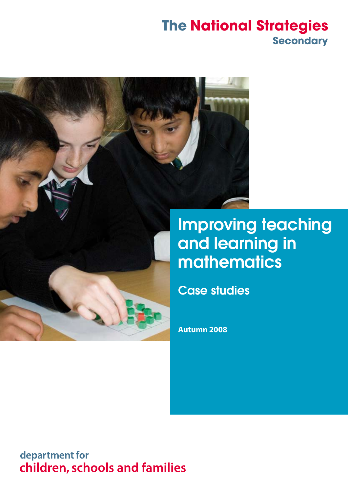# **The National Strategies Secondary**



# Improving teaching and learning in **mathematics**

Case studies

# department for children, schools and families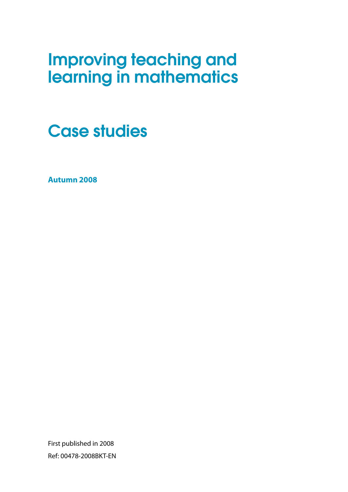# Improving teaching and learning in mathematics

# Case studies

**Autumn 2008**

First published in 2008 Ref: 00478-2008BKT-EN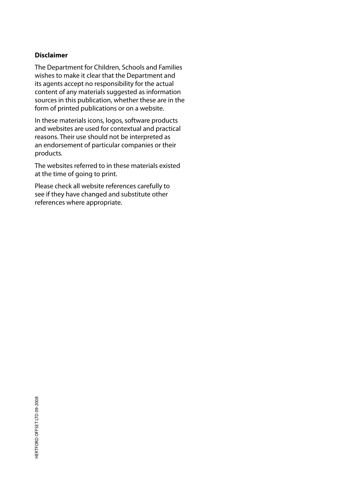#### **Disclaimer**

The Department for Children, Schools and Families wishes to make it clear that the Department and its agents accept no responsibility for the actual content of any materials suggested as information sources in this publication, whether these are in the form of printed publications or on a website.

In these materials icons, logos, software products and websites are used for contextual and practical reasons. Their use should not be interpreted as an endorsement of particular companies or their products.

The websites referred to in these materials existed at the time of going to print.

Please check all website references carefully to see if they have changed and substitute other references where appropriate.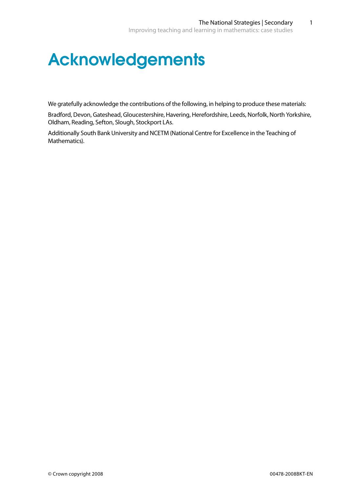# Acknowledgements

We gratefully acknowledge the contributions of the following, in helping to produce these materials:

Bradford, Devon, Gateshead, Gloucestershire, Havering, Herefordshire, Leeds, Norfolk, North Yorkshire, Oldham, Reading, Sefton, Slough, Stockport LAs.

Additionally South Bank University and NCETM (National Centre for Excellence in the Teaching of Mathematics).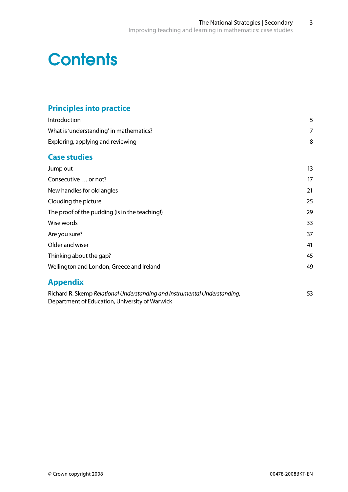# **Contents**

## **Principles into practice**

| Introduction                                   | 5  |
|------------------------------------------------|----|
| What is 'understanding' in mathematics?        | 7  |
| Exploring, applying and reviewing              | 8  |
| <b>Case studies</b>                            |    |
| Jump out                                       | 13 |
| Consecutive  or not?                           | 17 |
| New handles for old angles                     | 21 |
| Clouding the picture                           | 25 |
| The proof of the pudding (is in the teaching!) | 29 |
| Wise words                                     | 33 |
| Are you sure?                                  | 37 |
| Older and wiser                                | 41 |
| Thinking about the gap?                        | 45 |
| Wellington and London, Greece and Ireland      | 49 |

## **Appendix**

| Richard R. Skemp Relational Understanding and Instrumental Understanding, |  |
|---------------------------------------------------------------------------|--|
| Department of Education, University of Warwick                            |  |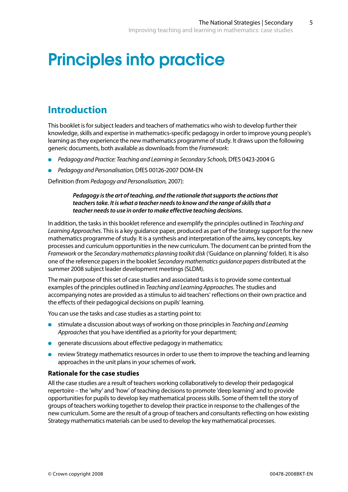# Principles into practice

## **Introduction**

This booklet is for subject leaders and teachers of mathematics who wish to develop further their knowledge, skills and expertise in mathematics-specific pedagogy in order to improve young people's learning as they experience the new mathematics programme of study. It draws upon the following generic documents, both available as downloads from the *Framework*:

- *Pedagogy and Practice: Teaching and Learning in Secondary Schools,* DfES 0423-2004 G
- Pedagogy and Personalisation, DfES 00126-2007 DOM-EN

Definition (from *Pedagogy and Personalisation,* 2007):

#### *Pedagogy is the art of teaching, and the rationale that supports the actions that teachers take. It is what a teacher needs to know and the range of skills that a teacher needs to use in order to make effective teaching decisions.*

In addition, the tasks in this booklet reference and exemplify the principles outlined in *Teaching and Learning Approaches*. This is a key guidance paper, produced as part of the Strategy support for the new mathematics programme of study. It is a synthesis and interpretation of the aims, key concepts, key processes and curriculum opportunities in the new curriculum. The document can be printed from the *Framework* or the *Secondary mathematics planning toolkit disk* ('Guidance on planning' folder). It is also one of the reference papers in the booklet *Secondary mathematics guidance papers* distributed at the summer 2008 subject leader development meetings (SLDM).

The main purpose of this set of case studies and associated tasks is to provide some contextual examples of the principles outlined in *Teaching and Learning Approaches*. The studies and accompanying notes are provided as a stimulus to aid teachers' reflections on their own practice and the effects of their pedagogical decisions on pupils' learning.

You can use the tasks and case studies as a starting point to:

- stimulate a discussion about ways of working on those principles in *Teaching and Learning Approaches* that you have identified as a priority for your department;
- generate discussions about effective pedagogy in mathematics;
- review Strategy mathematics resources in order to use them to improve the teaching and learning approaches in the unit plans in your schemes of work.

#### **Rationale for the case studies**

All the case studies are a result of teachers working collaboratively to develop their pedagogical repertoire – the 'why' and 'how' of teaching decisions to promote 'deep learning' and to provide opportunities for pupils to develop key mathematical process skills. Some of them tell the story of groups of teachers working together to develop their practice in response to the challenges of the new curriculum. Some are the result of a group of teachers and consultants reflecting on how existing Strategy mathematics materials can be used to develop the key mathematical processes.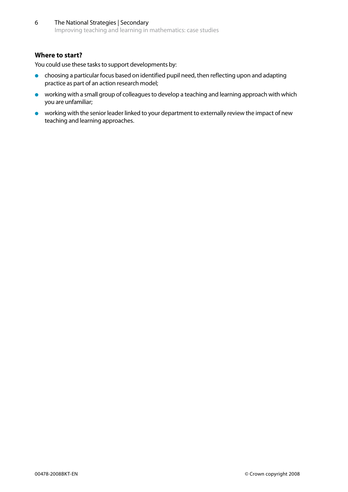#### **Where to start?**

You could use these tasks to support developments by:

- choosing a particular focus based on identified pupil need, then reflecting upon and adapting practice as part of an action research model;
- working with a small group of colleagues to develop a teaching and learning approach with which you are unfamiliar;
- working with the senior leader linked to your department to externally review the impact of new teaching and learning approaches.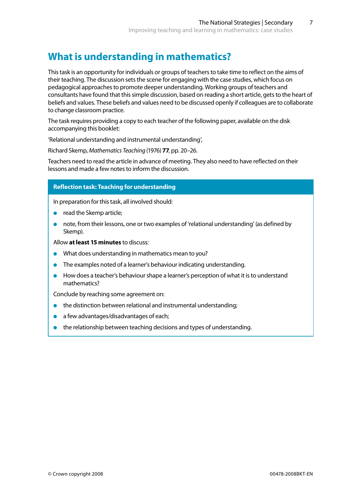# **What is understanding in mathematics?**

This task is an opportunity for individuals or groups of teachers to take time to reflect on the aims of their teaching. The discussion sets the scene for engaging with the case studies, which focus on pedagogical approaches to promote deeper understanding. Working groups of teachers and consultants have found that this simple discussion, based on reading a short article, gets to the heart of beliefs and values. These beliefs and values need to be discussed openly if colleagues are to collaborate to change classroom practice.

The task requires providing a copy to each teacher of the following paper, available on the disk accompanying this booklet:

'Relational understanding and instrumental understanding',

Richard Skemp, *Mathematics Teaching* (1976) **77**, pp. 20–26.

Teachers need to read the article in advance of meeting. They also need to have reflected on their lessons and made a few notes to inform the discussion.

#### **Reflection task: Teaching for understanding**

In preparation for this task, all involved should:

- read the Skemp article;
- note, from their lessons, one or two examples of 'relational understanding' (as defined by Skemp).

Allow **at least 15 minutes** to discuss:

- What does understanding in mathematics mean to you?
- The examples noted of a learner's behaviour indicating understanding.
- How does a teacher's behaviour shape a learner's perception of what it is to understand mathematics?

Conclude by reaching some agreement on:

- the distinction between relational and instrumental understanding;
- a few advantages/disadvantages of each;
- the relationship between teaching decisions and types of understanding.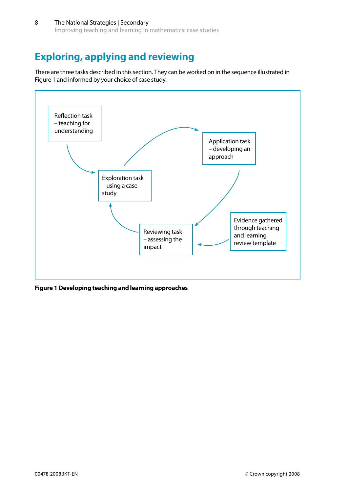# **Exploring, applying and reviewing**

There are three tasks described in this section. They can be worked on in the sequence illustrated in Figure 1 and informed by your choice of case study.



**Figure 1 Developing teaching and learning approaches**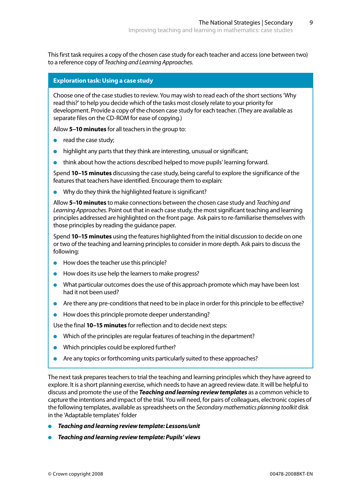This first task requires a copy of the chosen case study for each teacher and access (one between two) to a reference copy of *Teaching and Learning Approaches*.

#### **Exploration task: Using a case study**

Choose one of the case studies to review. You may wish to read each of the short sections 'Why read this?' to help you decide which of the tasks most closely relate to your priority for development. Provide a copy of the chosen case study for each teacher. (They are available as separate files on the CD-ROM for ease of copying.)

Allow **5–10 minutes** for all teachers in the group to:

- $\bullet$  read the case study;
- highlight any parts that they think are interesting, unusual or significant;
- think about how the actions described helped to move pupils' learning forward.

Spend **10–15 minutes** discussing the case study, being careful to explore the significance of the features that teachers have identified. Encourage them to explain:

Why do they think the highlighted feature is significant?

Allow **5–10 minutes** to make connections between the chosen case study and *Teaching and Learning Approaches*. Point out that in each case study, the most significant teaching and learning principles addressed are highlighted on the front page. Ask pairs to re-familiarise themselves with those principles by reading the guidance paper.

Spend **10–15 minutes** using the features highlighted from the initial discussion to decide on one or two of the teaching and learning principles to consider in more depth. Ask pairs to discuss the following:

- How does the teacher use this principle?
- How does its use help the learners to make progress?
- What particular outcomes does the use of this approach promote which may have been lost had it not been used?
- Are there any pre-conditions that need to be in place in order for this principle to be effective?
- How does this principle promote deeper understanding?

Use the final **10–15 minutes** for reflection and to decide next steps:

- Which of the principles are regular features of teaching in the department?
- Which principles could be explored further?
- Are any topics or forthcoming units particularly suited to these approaches?

The next task prepares teachers to trial the teaching and learning principles which they have agreed to explore. It is a short planning exercise, which needs to have an agreed review date. It will be helpful to discuss and promote the use of the *Teaching and learning review templates* as a common vehicle to capture the intentions and impact of the trial. You will need, for pairs of colleagues, electronic copies of the following templates, available as spreadsheets on the *Secondary mathematics planning toolkit* disk in the 'Adaptable templates' folder

- *Teaching and learning review template: Lessons/unit*
- *Teaching and learning review template: Pupils' views*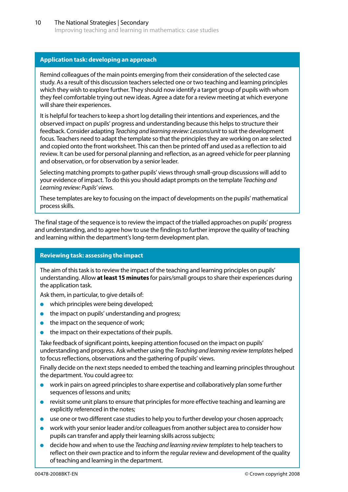#### **Application task: developing an approach**

Remind colleagues of the main points emerging from their consideration of the selected case study. As a result of this discussion teachers selected one or two teaching and learning principles which they wish to explore further. They should now identify a target group of pupils with whom they feel comfortable trying out new ideas. Agree a date for a review meeting at which everyone will share their experiences.

It is helpful for teachers to keep a short log detailing their intentions and experiences, and the observed impact on pupils' progress and understanding because this helps to structure their feedback. Consider adapting *Teaching and learning review: Lessons*/*unit* to suit the development focus. Teachers need to adapt the template so that the principles they are working on are selected and copied onto the front worksheet. This can then be printed off and used as a reflection to aid review. It can be used for personal planning and reflection, as an agreed vehicle for peer planning and observation, or for observation by a senior leader.

Selecting matching prompts to gather pupils' views through small-group discussions will add to your evidence of impact. To do this you should adapt prompts on the template *Teaching and Learning review: Pupils' views*.

These templates are key to focusing on the impact of developments on the pupils' mathematical process skills.

The final stage of the sequence is to review the impact of the trialled approaches on pupils' progress and understanding, and to agree how to use the findings to further improve the quality of teaching and learning within the department's long-term development plan.

#### **Reviewing task: assessing the impact**

The aim of this task is to review the impact of the teaching and learning principles on pupils' understanding. Allow **at least 15 minutes** for pairs/small groups to share their experiences during the application task.

Ask them, in particular, to give details of:

- which principles were being developed;
- the impact on pupils' understanding and progress;
- the impact on the sequence of work;
- the impact on their expectations of their pupils.

Take feedback of significant points, keeping attention focused on the impact on pupils' understanding and progress. Ask whether using the *Teaching and learning review templates* helped to focus reflections, observations and the gathering of pupils' views.

Finally decide on the next steps needed to embed the teaching and learning principles throughout the department. You could agree to:

- work in pairs on agreed principles to share expertise and collaboratively plan some further sequences of lessons and units;
- revisit some unit plans to ensure that principles for more effective teaching and learning are explicitly referenced in the notes;
- use one or two different case studies to help you to further develop your chosen approach;
- work with your senior leader and/or colleagues from another subject area to consider how pupils can transfer and apply their learning skills across subjects;
- decide how and when to use the *Teaching and learning review templates* to help teachers to reflect on their own practice and to inform the regular review and development of the quality of teaching and learning in the department.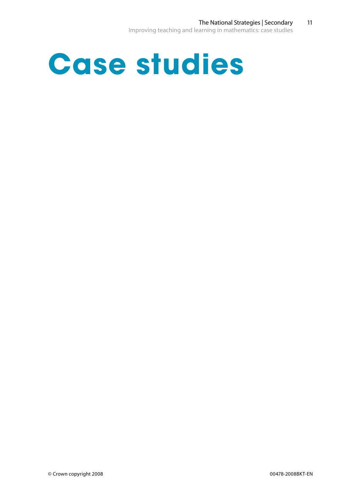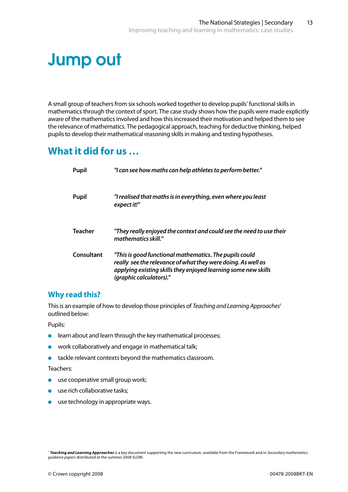

A small group of teachers from six schools worked together to develop pupils' functional skills in mathematics through the context of sport. The case study shows how the pupils were made explicitly aware of the mathematics involved and how this increased their motivation and helped them to see the relevance of mathematics. The pedagogical approach, teaching for deductive thinking, helped pupils to develop their mathematical reasoning skills in making and testing hypotheses.

## **What it did for us …**

| Pupil          | "I can see how maths can help athletes to perform better."                                                                                                                                                          |
|----------------|---------------------------------------------------------------------------------------------------------------------------------------------------------------------------------------------------------------------|
| Pupil          | "I realised that maths is in everything, even where you least<br>expect it!"                                                                                                                                        |
| <b>Teacher</b> | "They really enjoyed the context and could see the need to use their<br>mathematics skill."                                                                                                                         |
| Consultant     | "This is good functional mathematics. The pupils could<br>really see the relevance of what they were doing. As well as<br>applying existing skills they enjoyed learning some new skills<br>(graphic calculators)." |

### **Why read this?**

This is an example of how to develop those principles of *Teaching and Learning Approaches*<sup>1</sup> outlined below:

Pupils:

- learn about and learn through the key mathematical processes;
- work collaboratively and engage in mathematical talk;
- tackle relevant contexts beyond the mathematics classroom.

Teachers:

- use cooperative small group work;
- use rich collaborative tasks;
- use technology in appropriate ways.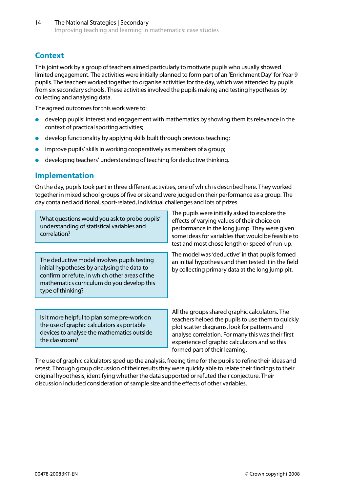### **Context**

This joint work by a group of teachers aimed particularly to motivate pupils who usually showed limited engagement. The activities were initially planned to form part of an 'Enrichment Day' for Year 9 pupils. The teachers worked together to organise activities for the day, which was attended by pupils from six secondary schools. These activities involved the pupils making and testing hypotheses by collecting and analysing data.

The agreed outcomes for this work were to:

- $\bullet$  develop pupils' interest and engagement with mathematics by showing them its relevance in the context of practical sporting activities;
- develop functionality by applying skills built through previous teaching;
- improve pupils' skills in working cooperatively as members of a group;
- developing teachers' understanding of teaching for deductive thinking.

#### **Implementation**

On the day, pupils took part in three different activities, one of which is described here. They worked together in mixed school groups of five or six and were judged on their performance as a group. The day contained additional, sport-related, individual challenges and lots of prizes.

What questions would you ask to probe pupils' understanding of statistical variables and correlation?

The deductive model involves pupils testing initial hypotheses by analysing the data to confirm or refute. In which other areas of the mathematics curriculum do you develop this type of thinking?

The pupils were initially asked to explore the effects of varying values of their choice on performance in the long jump. They were given some ideas for variables that would be feasible to test and most chose length or speed of run-up.

The model was 'deductive' in that pupils formed an initial hypothesis and then tested it in the field by collecting primary data at the long jump pit.

Is it more helpful to plan some pre-work on the use of graphic calculators as portable devices to analyse the mathematics outside the classroom?

All the groups shared graphic calculators. The teachers helped the pupils to use them to quickly plot scatter diagrams, look for patterns and analyse correlation. For many this was their first experience of graphic calculators and so this formed part of their learning.

The use of graphic calculators sped up the analysis, freeing time for the pupils to refine their ideas and retest. Through group discussion of their results they were quickly able to relate their findings to their original hypothesis, identifying whether the data supported or refuted their conjecture. Their discussion included consideration of sample size and the effects of other variables.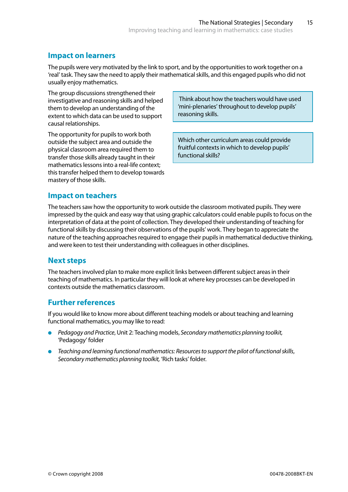### **Impact on learners**

The pupils were very motivated by the link to sport, and by the opportunities to work together on a 'real' task. They saw the need to apply their mathematical skills, and this engaged pupils who did not usually enjoy mathematics.

The group discussions strengthened their investigative and reasoning skills and helped them to develop an understanding of the extent to which data can be used to support causal relationships.

The opportunity for pupils to work both outside the subject area and outside the physical classroom area required them to transfer those skills already taught in their mathematics lessons into a real-life context; this transfer helped them to develop towards mastery of those skills.

 Think about how the teachers would have used 'mini-plenaries' throughout to develop pupils' reasoning skills.

Which other curriculum areas could provide fruitful contexts in which to develop pupils' functional skills?

#### **Impact on teachers**

The teachers saw how the opportunity to work outside the classroom motivated pupils. They were impressed by the quick and easy way that using graphic calculators could enable pupils to focus on the interpretation of data at the point of collection. They developed their understanding of teaching for functional skills by discussing their observations of the pupils' work. They began to appreciate the nature of the teaching approaches required to engage their pupils in mathematical deductive thinking, and were keen to test their understanding with colleagues in other disciplines.

#### **Next steps**

The teachers involved plan to make more explicit links between different subject areas in their teaching of mathematics. In particular they will look at where key processes can be developed in contexts outside the mathematics classroom.

#### **Further references**

If you would like to know more about different teaching models or about teaching and learning functional mathematics, you may like to read:

- *Pedagogy and Practice*, Unit 2: Teaching models, *Secondary mathematics planning toolkit,*  'Pedagogy' folder
- *Teaching and learning functional mathematics: Resources to support the pilot of functional skills*, *Secondary mathematics planning toolkit,* 'Rich tasks' folder.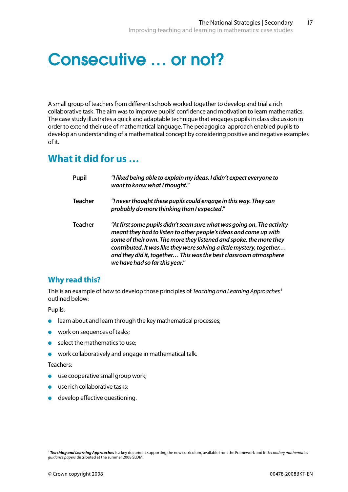# Consecutive … or not?

A small group of teachers from different schools worked together to develop and trial a rich collaborative task. The aim was to improve pupils' confidence and motivation to learn mathematics. The case study illustrates a quick and adaptable technique that engages pupils in class discussion in order to extend their use of mathematical language. The pedagogical approach enabled pupils to develop an understanding of a mathematical concept by considering positive and negative examples of it.

## **What it did for us …**

| Pupil          | "I liked being able to explain my ideas. I didn't expect everyone to<br>want to know what I thought."                                                                                                                                                                                                                                                                                            |
|----------------|--------------------------------------------------------------------------------------------------------------------------------------------------------------------------------------------------------------------------------------------------------------------------------------------------------------------------------------------------------------------------------------------------|
| <b>Teacher</b> | "I never thought these pupils could engage in this way. They can<br>probably do more thinking than I expected."                                                                                                                                                                                                                                                                                  |
| <b>Teacher</b> | "At first some pupils didn't seem sure what was going on. The activity<br>meant they had to listen to other people's ideas and come up with<br>some of their own. The more they listened and spoke, the more they<br>contributed. It was like they were solving a little mystery, together<br>and they did it, together This was the best classroom atmosphere<br>we have had so far this year." |

#### **Why read this?**

This is an example of how to develop those principles of *Teaching and Learning Approaches* <sup>1</sup> outlined below:

Pupils:

- learn about and learn through the key mathematical processes;
- work on sequences of tasks;
- select the mathematics to use:
- work collaboratively and engage in mathematical talk.

Teachers:

- use cooperative small group work;
- use rich collaborative tasks;
- develop effective questioning.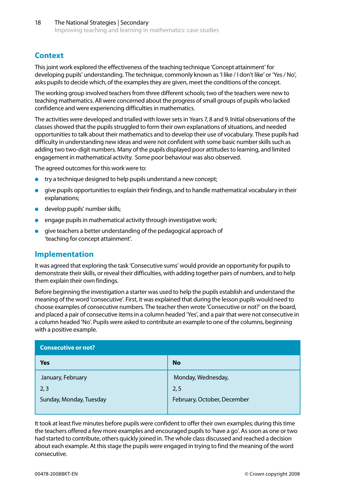## **Context**

This joint work explored the effectiveness of the teaching technique 'Concept attainment' for developing pupils' understanding. The technique, commonly known as 'I like / I don't like' or 'Yes / No', asks pupils to decide which, of the examples they are given, meet the conditions of the concept.

The working group involved teachers from three different schools; two of the teachers were new to teaching mathematics. All were concerned about the progress of small groups of pupils who lacked confidence and were experiencing difficulties in mathematics.

The activities were developed and trialled with lower sets in Years 7, 8 and 9. Initial observations of the classes showed that the pupils struggled to form their own explanations of situations, and needed opportunities to talk about their mathematics and to develop their use of vocabulary. These pupils had difficulty in understanding new ideas and were not confident with some basic number skills such as adding two two-digit numbers. Many of the pupils displayed poor attitudes to learning, and limited engagement in mathematical activity. Some poor behaviour was also observed.

The agreed outcomes for this work were to:

- try a technique designed to help pupils understand a new concept;
- give pupils opportunities to explain their findings, and to handle mathematical vocabulary in their explanations;
- develop pupils' number skills;
- engage pupils in mathematical activity through investigative work;
- give teachers a better understanding of the pedagogical approach of 'teaching for concept attainment'.

#### **Implementation**

It was agreed that exploring the task 'Consecutive sums' would provide an opportunity for pupils to demonstrate their skills, or reveal their difficulties, with adding together pairs of numbers, and to help them explain their own findings.

Before beginning the investigation a starter was used to help the pupils establish and understand the meaning of the word 'consecutive'. First, it was explained that during the lesson pupils would need to choose examples of consecutive numbers. The teacher then wrote 'Consecutive or not?' on the board, and placed a pair of consecutive items in a column headed 'Yes', and a pair that were not consecutive in a column headed 'No'. Pupils were asked to contribute an example to one of the columns, beginning with a positive example.

| <b>Consecutive or not?</b> |                             |
|----------------------------|-----------------------------|
| Yes                        | <b>No</b>                   |
| January, February          | Monday, Wednesday,          |
| 2, 3                       | 2, 5                        |
| Sunday, Monday, Tuesday    | February, October, December |
|                            |                             |

It took at least five minutes before pupils were confident to offer their own examples; during this time the teachers offered a few more examples and encouraged pupils to 'have a go'. As soon as one or two had started to contribute, others quickly joined in. The whole class discussed and reached a decision about each example. At this stage the pupils were engaged in trying to find the meaning of the word consecutive.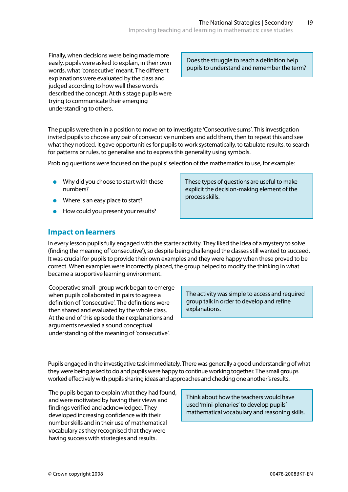Improving teaching and learning in mathematics: case studies

Finally, when decisions were being made more easily, pupils were asked to explain, in their own words, what 'consecutive' meant. The different explanations were evaluated by the class and judged according to how well these words described the concept. At this stage pupils were trying to communicate their emerging understanding to others.

Does the struggle to reach a definition help pupils to understand and remember the term?

The pupils were then in a position to move on to investigate 'Consecutive sums'. This investigation invited pupils to choose any pair of consecutive numbers and add them, then to repeat this and see what they noticed. It gave opportunities for pupils to work systematically, to tabulate results, to search for patterns or rules, to generalise and to express this generality using symbols.

Probing questions were focused on the pupils' selection of the mathematics to use, for example:

- Why did you choose to start with these numbers?
- Where is an easy place to start?
- How could you present your results?

**Impact on learners**

In every lesson pupils fully engaged with the starter activity. They liked the idea of a mystery to solve (finding the meaning of 'consecutive'), so despite being challenged the classes still wanted to succeed. It was crucial for pupils to provide their own examples and they were happy when these proved to be correct. When examples were incorrectly placed, the group helped to modify the thinking in what became a supportive learning environment.

Cooperative small–group work began to emerge when pupils collaborated in pairs to agree a definition of 'consecutive'. The definitions were then shared and evaluated by the whole class. At the end of this episode their explanations and arguments revealed a sound conceptual understanding of the meaning of 'consecutive'.

The activity was simple to access and required group talk in order to develop and refine explanations.

Pupils engaged in the investigative task immediately. There was generally a good understanding of what they were being asked to do and pupils were happy to continue working together. The small groups worked effectively with pupils sharing ideas and approaches and checking one another's results.

The pupils began to explain what they had found, and were motivated by having their views and findings verified and acknowledged. They developed increasing confidence with their number skills and in their use of mathematical vocabulary as they recognised that they were having success with strategies and results.

Think about how the teachers would have used 'mini-plenaries' to develop pupils' mathematical vocabulary and reasoning skills.

These types of questions are useful to make explicit the decision-making element of the process skills.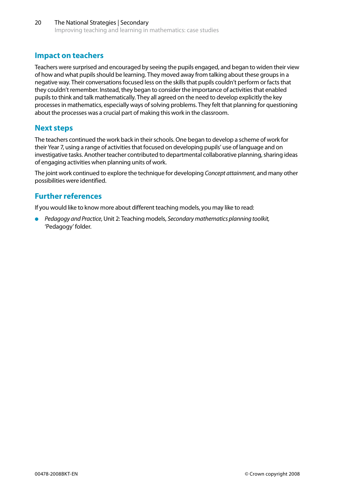### **Impact on teachers**

Teachers were surprised and encouraged by seeing the pupils engaged, and began to widen their view of how and what pupils should be learning. They moved away from talking about these groups in a negative way. Their conversations focused less on the skills that pupils couldn't perform or facts that they couldn't remember. Instead, they began to consider the importance of activities that enabled pupils to think and talk mathematically. They all agreed on the need to develop explicitly the key processes in mathematics, especially ways of solving problems. They felt that planning for questioning about the processes was a crucial part of making this work in the classroom.

#### **Next steps**

The teachers continued the work back in their schools. One began to develop a scheme of work for their Year 7, using a range of activities that focused on developing pupils' use of language and on investigative tasks. Another teacher contributed to departmental collaborative planning, sharing ideas of engaging activities when planning units of work.

The joint work continued to explore the technique for developing *Concept attainment*, and many other possibilities were identified.

### **Further references**

If you would like to know more about different teaching models, you may like to read:

● *Pedagogy and Practice*, Unit 2: Teaching models, *Secondary mathematics planning toolkit,* 'Pedagogy' folder.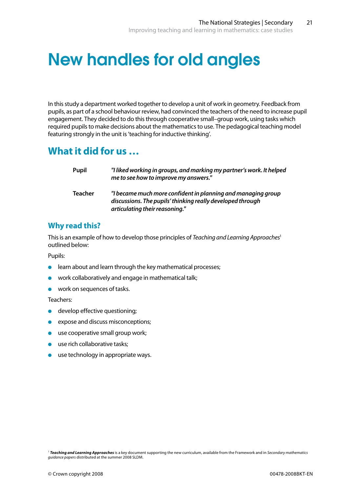# New handles for old angles

In this study a department worked together to develop a unit of work in geometry. Feedback from pupils, as part of a school behaviour review, had convinced the teachers of the need to increase pupil engagement. They decided to do this through cooperative small–group work, using tasks which required pupils to make decisions about the mathematics to use. The pedagogical teaching model featuring strongly in the unit is 'teaching for inductive thinking'.

## **What it did for us …**

| Pupil          | "I liked working in groups, and marking my partner's work. It helped<br>me to see how to improve my answers."                                                |
|----------------|--------------------------------------------------------------------------------------------------------------------------------------------------------------|
| <b>Teacher</b> | "I became much more confident in planning and managing group<br>discussions. The pupils' thinking really developed through<br>articulating their reasoning." |

#### **Why read this?**

This is an example of how to develop those principles of *Teaching and Learning Approaches*<sup>1</sup> outlined below:

Pupils:

- learn about and learn through the key mathematical processes;
- work collaboratively and engage in mathematical talk;
- work on sequences of tasks.

Teachers:

- **•** develop effective questioning;
- expose and discuss misconceptions;
- use cooperative small group work;
- use rich collaborative tasks;
- use technology in appropriate ways.

<sup>1</sup> *Teaching and Learning Approaches* is a key document supporting the new curriculum, available from the Framework and in *Secondary mathematics guidance papers* distributed at the summer 2008 SLDM.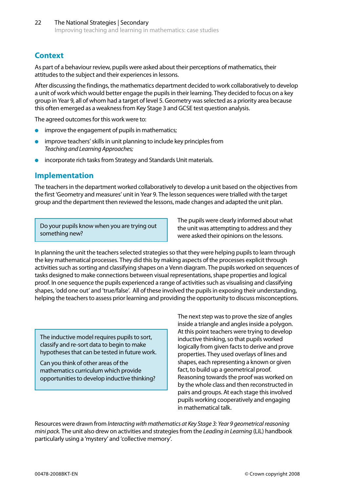## **Context**

As part of a behaviour review, pupils were asked about their perceptions of mathematics, their attitudes to the subject and their experiences in lessons.

After discussing the findings, the mathematics department decided to work collaboratively to develop a unit of work which would better engage the pupils in their learning. They decided to focus on a key group in Year 9, all of whom had a target of level 5. Geometry was selected as a priority area because this often emerged as a weakness from Key Stage 3 and GCSE test question analysis.

The agreed outcomes for this work were to:

- improve the engagement of pupils in mathematics;
- improve teachers' skills in unit planning to include key principles from *Teaching and Learning Approaches;*
- incorporate rich tasks from Strategy and Standards Unit materials.

#### **Implementation**

The teachers in the department worked collaboratively to develop a unit based on the objectives from the first 'Geometry and measures' unit in Year 9. The lesson sequences were trialled with the target group and the department then reviewed the lessons, made changes and adapted the unit plan.

Do your pupils know when you are trying out something new?

The pupils were clearly informed about what the unit was attempting to address and they were asked their opinions on the lessons.

In planning the unit the teachers selected strategies so that they were helping pupils to learn through the key mathematical processes. They did this by making aspects of the processes explicit through activities such as sorting and classifying shapes on a Venn diagram. The pupils worked on sequences of tasks designed to make connections between visual representations, shape properties and logical proof. In one sequence the pupils experienced a range of activities such as visualising and classifying shapes, 'odd one out' and 'true/false'. All of these involved the pupils in exposing their understanding, helping the teachers to assess prior learning and providing the opportunity to discuss misconceptions.

The inductive model requires pupils to sort, classify and re-sort data to begin to make hypotheses that can be tested in future work.

Can you think of other areas of the mathematics curriculum which provide opportunities to develop inductive thinking? The next step was to prove the size of angles inside a triangle and angles inside a polygon. At this point teachers were trying to develop inductive thinking, so that pupils worked logically from given facts to derive and prove properties. They used overlays of lines and shapes, each representing a known or given fact, to build up a geometrical proof. Reasoning towards the proof was worked on by the whole class and then reconstructed in pairs and groups. At each stage this involved pupils working cooperatively and engaging in mathematical talk.

Resources were drawn from *Interacting with mathematics at Key Stage 3: Year 9 geometrical reasoning mini pack.* The unit also drew on activities and strategies from the *Leading in Learning* (LiL) handbook particularly using a 'mystery' and 'collective memory'.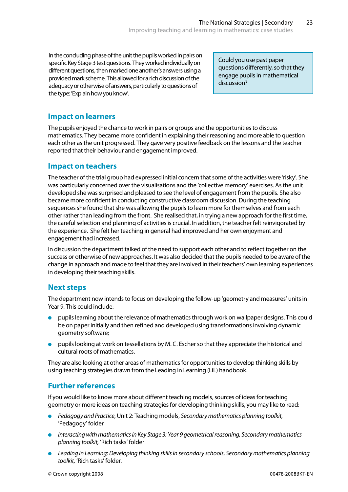In the concluding phase of the unit the pupils worked in pairs on specific Key Stage 3 test questions. They worked individually on different questions, then marked one another's answers using a provided mark scheme. This allowed for a rich discussion of the adequacy or otherwise of answers, particularly to questions of the type: 'Explain how you know'.

Could you use past paper questions differently, so that they engage pupils in mathematical discussion?

#### **Impact on learners**

The pupils enjoyed the chance to work in pairs or groups and the opportunities to discuss mathematics. They became more confident in explaining their reasoning and more able to question each other as the unit progressed. They gave very positive feedback on the lessons and the teacher reported that their behaviour and engagement improved.

#### **Impact on teachers**

The teacher of the trial group had expressed initial concern that some of the activities were 'risky'. She was particularly concerned over the visualisations and the 'collective memory' exercises. As the unit developed she was surprised and pleased to see the level of engagement from the pupils. She also became more confident in conducting constructive classroom discussion. During the teaching sequences she found that she was allowing the pupils to learn more for themselves and from each other rather than leading from the front. She realised that, in trying a new approach for the first time, the careful selection and planning of activities is crucial. In addition, the teacher felt reinvigorated by the experience. She felt her teaching in general had improved and her own enjoyment and engagement had increased.

In discussion the department talked of the need to support each other and to reflect together on the success or otherwise of new approaches. It was also decided that the pupils needed to be aware of the change in approach and made to feel that they are involved in their teachers' own learning experiences in developing their teaching skills.

#### **Next steps**

The department now intends to focus on developing the follow-up 'geometry and measures' units in Year 9. This could include:

- pupils learning about the relevance of mathematics through work on wallpaper designs. This could be on paper initially and then refined and developed using transformations involving dynamic geometry software;
- pupils looking at work on tessellations by M. C. Escher so that they appreciate the historical and cultural roots of mathematics.

They are also looking at other areas of mathematics for opportunities to develop thinking skills by using teaching strategies drawn from the Leading in Learning (LiL) handbook.

#### **Further references**

If you would like to know more about different teaching models, sources of ideas for teaching geometry or more ideas on teaching strategies for developing thinking skills, you may like to read:

- *Pedagogy and Practice*, Unit 2: Teaching models, *Secondary mathematics planning toolkit,* 'Pedagogy' folder
- *Interacting with mathematics in Key Stage 3: Year 9 geometrical reasoning, Secondary mathematics planning toolkit,* 'Rich tasks' folder
- *Leading in Learning; Developing thinking skills in secondary schools*, *Secondary mathematics planning toolkit,* 'Rich tasks' folder.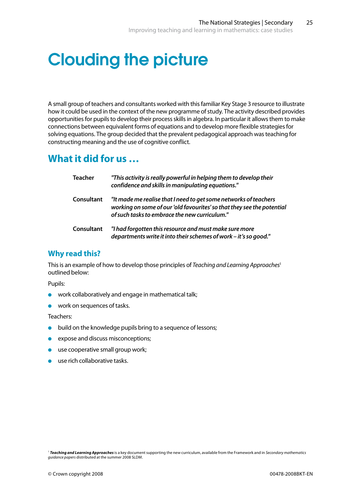# Clouding the picture

A small group of teachers and consultants worked with this familiar Key Stage 3 resource to illustrate how it could be used in the context of the new programme of study. The activity described provides opportunities for pupils to develop their process skills in algebra. In particular it allows them to make connections between equivalent forms of equations and to develop more flexible strategies for solving equations. The group decided that the prevalent pedagogical approach was teaching for constructing meaning and the use of cognitive conflict.

## **What it did for us …**

| <b>Teacher</b> | "This activity is really powerful in helping them to develop their<br>confidence and skills in manipulating equations."                                                                     |
|----------------|---------------------------------------------------------------------------------------------------------------------------------------------------------------------------------------------|
| Consultant     | "It made me realise that I need to get some networks of teachers<br>working on some of our 'old favourites' so that they see the potential<br>of such tasks to embrace the new curriculum." |
| Consultant     | "I had forgotten this resource and must make sure more<br>departments write it into their schemes of work – it's so good."                                                                  |

#### **Why read this?**

This is an example of how to develop those principles of *Teaching and Learning Approaches*<sup>1</sup> outlined below:

Pupils:

- work collaboratively and engage in mathematical talk;
- work on sequences of tasks.

Teachers:

- build on the knowledge pupils bring to a sequence of lessons;
- expose and discuss misconceptions;
- use cooperative small group work;
- use rich collaborative tasks.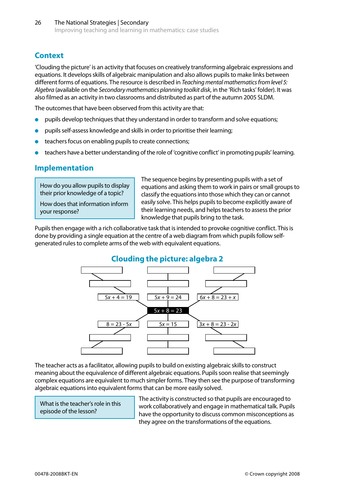## **Context**

'Clouding the picture' is an activity that focuses on creatively transforming algebraic expressions and equations. It develops skills of algebraic manipulation and also allows pupils to make links between different forms of equations. The resource is described in *Teaching mental mathematics from level 5: Algebra* (available on the *Secondary mathematics planning toolkit disk*, in the 'Rich tasks' folder). It was also filmed as an activity in two classrooms and distributed as part of the autumn 2005 SLDM.

The outcomes that have been observed from this activity are that:

- pupils develop techniques that they understand in order to transform and solve equations;
- pupils self-assess knowledge and skills in order to prioritise their learning;
- teachers focus on enabling pupils to create connections;
- teachers have a better understanding of the role of 'cognitive conflict' in promoting pupils' learning.

#### **Implementation**

How do you allow pupils to display their prior knowledge of a topic?

How does that information inform your response?

The sequence begins by presenting pupils with a set of equations and asking them to work in pairs or small groups to classify the equations into those which they can or cannot easily solve. This helps pupils to become explicitly aware of their learning needs, and helps teachers to assess the prior knowledge that pupils bring to the task.

Pupils then engage with a rich collaborative task that is intended to provoke cognitive conflict. This is done by providing a single equation at the centre of a web diagram from which pupils follow selfgenerated rules to complete arms of the web with equivalent equations.



### **Clouding the picture: algebra 2**

The teacher acts as a facilitator, allowing pupils to build on existing algebraic skills to construct meaning about the equivalence of different algebraic equations. Pupils soon realise that seemingly complex equations are equivalent to much simpler forms. They then see the purpose of transforming algebraic equations into equivalent forms that can be more easily solved.

What is the teacher's role in this episode of the lesson?

The activity is constructed so that pupils are encouraged to work collaboratively and engage in mathematical talk. Pupils have the opportunity to discuss common misconceptions as they agree on the transformations of the equations.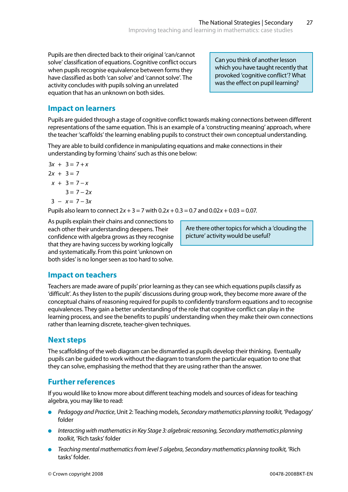Pupils are then directed back to their original 'can/cannot solve' classification of equations. Cognitive conflict occurs when pupils recognise equivalence between forms they have classified as both 'can solve' and 'cannot solve'. The activity concludes with pupils solving an unrelated equation that has an unknown on both sides.

Can you think of another lesson which you have taught recently that provoked 'cognitive conflict'? What was the effect on pupil learning?

### **Impact on learners**

Pupils are guided through a stage of cognitive conflict towards making connections between different representations of the same equation. This is an example of a 'constructing meaning' approach, where the teacher 'scaffolds' the learning enabling pupils to construct their own conceptual understanding.

They are able to build confidence in manipulating equations and make connections in their understanding by forming 'chains' such as this one below:

$$
3x + 3 = 7 + x
$$
  
\n
$$
2x + 3 = 7
$$
  
\n
$$
x + 3 = 7 - x
$$
  
\n
$$
3 = 7 - 2x
$$
  
\n
$$
3 - x = 7 - 3x
$$

Pupils also learn to connect 2*x* + 3 = 7 with 0.2*x* + 0.3 = 0.7 and 0.02*x* + 0.03 = 0.07.

As pupils explain their chains and connections to each other their understanding deepens. Their confidence with algebra grows as they recognise that they are having success by working logically and systematically. From this point 'unknown on both sides' is no longer seen as too hard to solve.

Are there other topics for which a 'clouding the picture' activity would be useful?

#### **Impact on teachers**

Teachers are made aware of pupils' prior learning as they can see which equations pupils classify as 'difficult'. As they listen to the pupils' discussions during group work, they become more aware of the conceptual chains of reasoning required for pupils to confidently transform equations and to recognise equivalences. They gain a better understanding of the role that cognitive conflict can play in the learning process, and see the benefits to pupils' understanding when they make their own connections rather than learning discrete, teacher-given techniques.

#### **Next steps**

The scaffolding of the web diagram can be dismantled as pupils develop their thinking. Eventually pupils can be guided to work without the diagram to transform the particular equation to one that they can solve, emphasising the method that they are using rather than the answer.

#### **Further references**

If you would like to know more about different teaching models and sources of ideas for teaching algebra, you may like to read:

- *Pedagogy and Practice*, Unit 2: Teaching models, *Secondary mathematics planning toolkit,* 'Pedagogy' folder
- *Interacting with mathematics in Key Stage 3: algebraic reasoning, Secondary mathematics planning toolkit,* 'Rich tasks' folder
- *Teaching mental mathematics from level 5 algebra*, *Secondary mathematics planning toolkit,* 'Rich tasks' folder.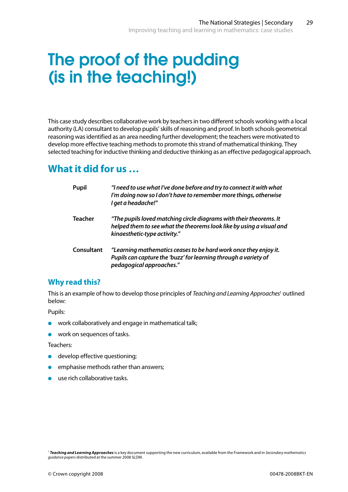# The proof of the pudding (is in the teaching!)

This case study describes collaborative work by teachers in two different schools working with a local authority (LA) consultant to develop pupils' skills of reasoning and proof. In both schools geometrical reasoning was identified as an area needing further development; the teachers were motivated to develop more effective teaching methods to promote this strand of mathematical thinking. They selected teaching for inductive thinking and deductive thinking as an effective pedagogical approach.

## **What it did for us …**

| Pupil          | "I need to use what I've done before and try to connect it with what<br>I'm doing now so I don't have to remember more things, otherwise<br>l get a headache!"             |
|----------------|----------------------------------------------------------------------------------------------------------------------------------------------------------------------------|
| <b>Teacher</b> | "The pupils loved matching circle diagrams with their theorems. It<br>helped them to see what the theorems look like by using a visual and<br>kinaesthetic-type activity." |
| Consultant     | "Learning mathematics ceases to be hard work once they enjoy it.<br>Pupils can capture the 'buzz' for learning through a variety of<br>pedagogical approaches."            |

#### **Why read this?**

This is an example of how to develop those principles of *Teaching and Learning Approaches*<sup>1</sup> outlined below:

Pupils:

- work collaboratively and engage in mathematical talk;
- work on sequences of tasks.

Teachers:

- develop effective questioning;
- emphasise methods rather than answers;
- use rich collaborative tasks.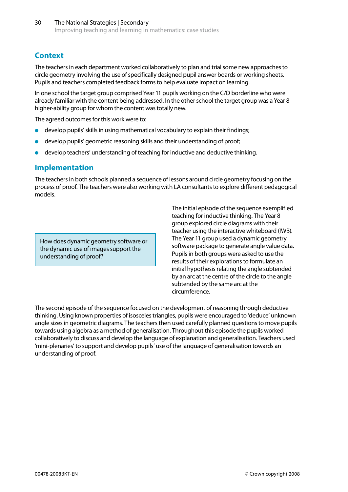## **Context**

The teachers in each department worked collaboratively to plan and trial some new approaches to circle geometry involving the use of specifically designed pupil answer boards or working sheets. Pupils and teachers completed feedback forms to help evaluate impact on learning.

In one school the target group comprised Year 11 pupils working on the C/D borderline who were already familiar with the content being addressed. In the other school the target group was a Year 8 higher-ability group for whom the content was totally new.

The agreed outcomes for this work were to:

- develop pupils' skills in using mathematical vocabulary to explain their findings;
- develop pupils' geometric reasoning skills and their understanding of proof;
- develop teachers' understanding of teaching for inductive and deductive thinking.

#### **Implementation**

The teachers in both schools planned a sequence of lessons around circle geometry focusing on the process of proof. The teachers were also working with LA consultants to explore different pedagogical models.

How does dynamic geometry software or the dynamic use of images support the understanding of proof?

The initial episode of the sequence exemplified teaching for inductive thinking. The Year 8 group explored circle diagrams with their teacher using the interactive whiteboard (IWB). The Year 11 group used a dynamic geometry software package to generate angle value data. Pupils in both groups were asked to use the results of their explorations to formulate an initial hypothesis relating the angle subtended by an arc at the centre of the circle to the angle subtended by the same arc at the circumference.

The second episode of the sequence focused on the development of reasoning through deductive thinking. Using known properties of isosceles triangles, pupils were encouraged to 'deduce' unknown angle sizes in geometric diagrams. The teachers then used carefully planned questions to move pupils towards using algebra as a method of generalisation. Throughout this episode the pupils worked collaboratively to discuss and develop the language of explanation and generalisation. Teachers used 'mini-plenaries' to support and develop pupils' use of the language of generalisation towards an understanding of proof.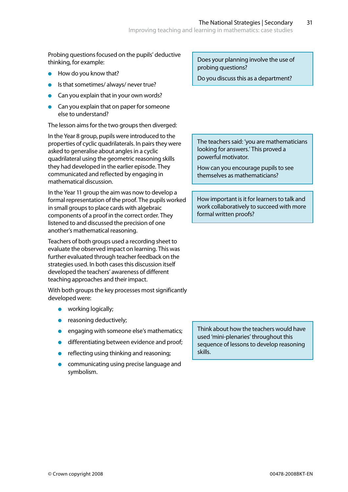Improving teaching and learning in mathematics: case studies

Probing questions focused on the pupils' deductive thinking, for example:

- How do you know that?
- Is that sometimes/ always/ never true?
- Can you explain that in your own words?
- Can you explain that on paper for someone else to understand?

The lesson aims for the two groups then diverged:

In the Year 8 group, pupils were introduced to the properties of cyclic quadrilaterals. In pairs they were asked to generalise about angles in a cyclic quadrilateral using the geometric reasoning skills they had developed in the earlier episode. They communicated and reflected by engaging in mathematical discussion.

In the Year 11 group the aim was now to develop a formal representation of the proof. The pupils worked in small groups to place cards with algebraic components of a proof in the correct order. They listened to and discussed the precision of one another's mathematical reasoning.

Teachers of both groups used a recording sheet to evaluate the observed impact on learning. This was further evaluated through teacher feedback on the strategies used. In both cases this discussion itself developed the teachers' awareness of different teaching approaches and their impact.

With both groups the key processes most significantly developed were:

- working logically;
- reasoning deductively;
- engaging with someone else's mathematics;
- differentiating between evidence and proof;
- reflecting using thinking and reasoning;
- communicating using precise language and symbolism.

Does your planning involve the use of probing questions?

Do you discuss this as a department?

The teachers said: 'you are mathematicians looking for answers.' This proved a powerful motivator.

How can you encourage pupils to see themselves as mathematicians?

How important is it for learners to talk and work collaboratively to succeed with more formal written proofs?

Think about how the teachers would have used 'mini-plenaries' throughout this sequence of lessons to develop reasoning skills.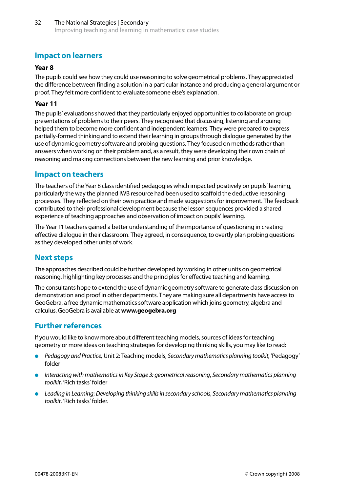#### **Impact on learners**

#### **Year 8**

The pupils could see how they could use reasoning to solve geometrical problems. They appreciated the difference between finding a solution in a particular instance and producing a general argument or proof. They felt more confident to evaluate someone else's explanation.

#### **Year 11**

The pupils' evaluations showed that they particularly enjoyed opportunities to collaborate on group presentations of problems to their peers. They recognised that discussing, listening and arguing helped them to become more confident and independent learners. They were prepared to express partially-formed thinking and to extend their learning in groups through dialogue generated by the use of dynamic geometry software and probing questions. They focused on methods rather than answers when working on their problem and, as a result, they were developing their own chain of reasoning and making connections between the new learning and prior knowledge.

#### **Impact on teachers**

The teachers of the Year 8 class identified pedagogies which impacted positively on pupils' learning, particularly the way the planned IWB resource had been used to scaffold the deductive reasoning processes. They reflected on their own practice and made suggestions for improvement. The feedback contributed to their professional development because the lesson sequences provided a shared experience of teaching approaches and observation of impact on pupils' learning.

The Year 11 teachers gained a better understanding of the importance of questioning in creating effective dialogue in their classroom. They agreed, in consequence, to overtly plan probing questions as they developed other units of work.

#### **Next steps**

The approaches described could be further developed by working in other units on geometrical reasoning, highlighting key processes and the principles for effective teaching and learning.

The consultants hope to extend the use of dynamic geometry software to generate class discussion on demonstration and proof in other departments. They are making sure all departments have access to GeoGebra, a free dynamic mathematics software application which joins geometry, algebra and calculus. GeoGebra is available at **www.geogebra.org**

#### **Further references**

If you would like to know more about different teaching models, sources of ideas for teaching geometry or more ideas on teaching strategies for developing thinking skills, you may like to read:

- *Pedagogy and Practice,* Unit 2: Teaching models, *Secondary mathematics planning toolkit,* 'Pedagogy' folder
- *Interacting with mathematics in Key Stage 3: geometrical reasoning*, *Secondary mathematics planning toolkit*, 'Rich tasks' folder
- *Leading in Learning*; *Developing thinking skills in secondary schools*, *Secondary mathematics planning toolkit*, 'Rich tasks' folder.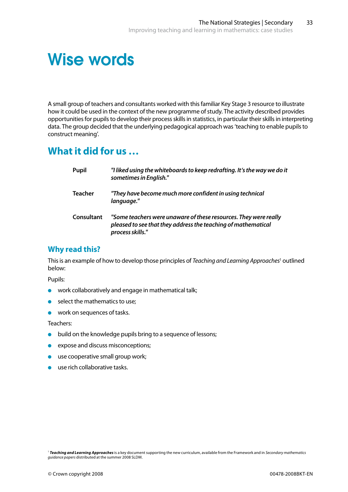# Wise words

A small group of teachers and consultants worked with this familiar Key Stage 3 resource to illustrate how it could be used in the context of the new programme of study. The activity described provides opportunities for pupils to develop their process skills in statistics, in particular their skills in interpreting data. The group decided that the underlying pedagogical approach was 'teaching to enable pupils to construct meaning'.

## **What it did for us …**

| Pupil          | "I liked using the whiteboards to keep redrafting. It's the way we do it<br>sometimes in English."                                                    |
|----------------|-------------------------------------------------------------------------------------------------------------------------------------------------------|
| <b>Teacher</b> | "They have become much more confident in using technical<br>language."                                                                                |
| Consultant     | "Some teachers were unaware of these resources. They were really<br>pleased to see that they address the teaching of mathematical<br>process skills." |

### **Why read this?**

This is an example of how to develop those principles of *Teaching and Learning Approaches*<sup>1</sup> outlined below:

Pupils:

- work collaboratively and engage in mathematical talk;
- select the mathematics to use;
- work on sequences of tasks.

Teachers:

- build on the knowledge pupils bring to a sequence of lessons;
- expose and discuss misconceptions;
- use cooperative small group work:
- use rich collaborative tasks.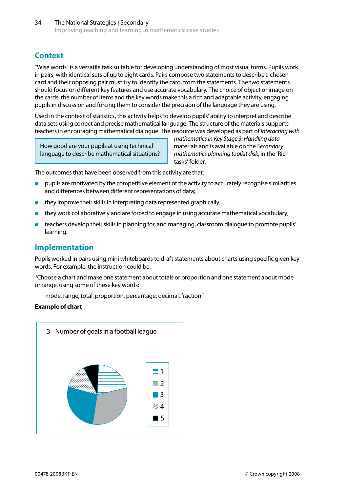## **Context**

"Wise words" is a versatile task suitable for developing understanding of most visual forms. Pupils work in pairs, with identical sets of up to eight cards. Pairs compose two statements to describe a chosen card and their opposing pair must try to identify the card, from the statements. The two statements should focus on different key features and use accurate vocabulary. The choice of object or image on the cards, the number of items and the key words make this a rich and adaptable activity, engaging pupils in discussion and forcing them to consider the precision of the language they are using.

Used in the context of statistics, this activity helps to develop pupils' ability to interpret and describe data sets using correct and precise mathematical language. The structure of the materials supports teachers in encouraging mathematical dialogue. The resource was developed as part of *Interacting with* 

How good are your pupils at using technical language to describe mathematical situations? *mathematics in Key Stage 3: Handling data* materials and is available on the *Secondary mathematics planning toolkit disk*, in the 'Rich tasks' folder.

The outcomes that have been observed from this activity are that:

- pupils are motivated by the competitive element of the activity to accurately recognise similarities and differences between different representations of data;
- they improve their skills in interpreting data represented graphically;
- they work collaboratively and are forced to engage in using accurate mathematical vocabulary;
- teachers develop their skills in planning for, and managing, classroom dialogue to promote pupils' learning.

#### **Implementation**

Pupils worked in pairs using mini whiteboards to draft statements about charts using specific given key words. For example, the instruction could be:

 'Choose a chart and make one statement about totals or proportion and one statement about mode or range, using some of these key words:

mode, range, total, proportion, percentage, decimal, fraction.'

#### **Example of chart**

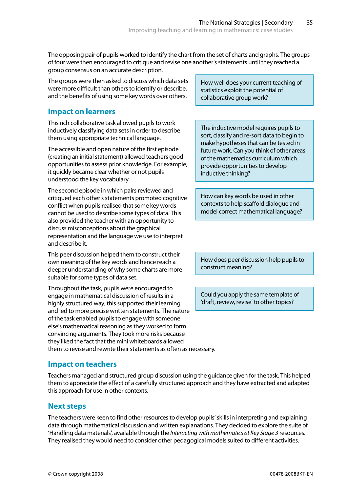The opposing pair of pupils worked to identify the chart from the set of charts and graphs. The groups of four were then encouraged to critique and revise one another's statements until they reached a group consensus on an accurate description.

The groups were then asked to discuss which data sets were more difficult than others to identify or describe, and the benefits of using some key words over others.

#### **Impact on learners**

This rich collaborative task allowed pupils to work inductively classifying data sets in order to describe them using appropriate technical language.

The accessible and open nature of the first episode (creating an initial statement) allowed teachers good opportunities to assess prior knowledge. For example, it quickly became clear whether or not pupils understood the key vocabulary.

The second episode in which pairs reviewed and critiqued each other's statements promoted cognitive conflict when pupils realised that some key words cannot be used to describe some types of data. This also provided the teacher with an opportunity to discuss misconceptions about the graphical representation and the language we use to interpret and describe it.

This peer discussion helped them to construct their own meaning of the key words and hence reach a deeper understanding of why some charts are more suitable for some types of data set.

Throughout the task, pupils were encouraged to engage in mathematical discussion of results in a highly structured way; this supported their learning and led to more precise written statements. The nature of the task enabled pupils to engage with someone else's mathematical reasoning as they worked to form convincing arguments. They took more risks because they liked the fact that the mini whiteboards allowed them to revise and rewrite their statements as often as necessary.

**Impact on teachers**

Teachers managed and structured group discussion using the guidance given for the task. This helped them to appreciate the effect of a carefully structured approach and they have extracted and adapted this approach for use in other contexts.

#### **Next steps**

The teachers were keen to find other resources to develop pupils' skills in interpreting and explaining data through mathematical discussion and written explanations. They decided to explore the suite of 'Handling data materials', available through the *Interacting with mathematics at Key Stage 3* resources. They realised they would need to consider other pedagogical models suited to different activities.

How well does your current teaching of statistics exploit the potential of collaborative group work?

The inductive model requires pupils to sort, classify and re-sort data to begin to make hypotheses that can be tested in future work. Can you think of other areas of the mathematics curriculum which provide opportunities to develop inductive thinking?

How can key words be used in other contexts to help scaffold dialogue and model correct mathematical language?

How does peer discussion help pupils to construct meaning?

Could you apply the same template of 'draft, review, revise' to other topics?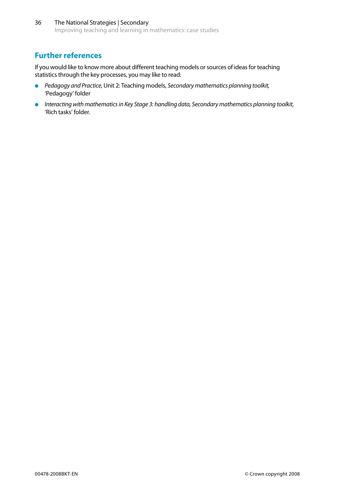## **Further references**

If you would like to know more about different teaching models or sources of ideas for teaching statistics through the key processes, you may like to read:

- *Pedagogy and Practice*, Unit 2: Teaching models, *Secondary mathematics planning toolkit,*  'Pedagogy' folder
- *Interacting with mathematics in Key Stage 3: handling data, Secondary mathematics planning toolkit,* 'Rich tasks' folder.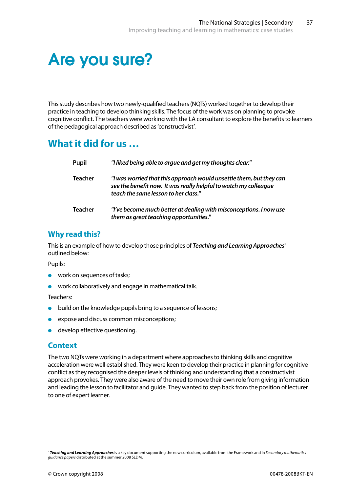# Are you sure?

This study describes how two newly-qualified teachers (NQTs) worked together to develop their practice in teaching to develop thinking skills. The focus of the work was on planning to provoke cognitive conflict. The teachers were working with the LA consultant to explore the benefits to learners of the pedagogical approach described as 'constructivist'.

## **What it did for us …**

| Pupil          | "I liked being able to argue and get my thoughts clear."                                                                                                                        |
|----------------|---------------------------------------------------------------------------------------------------------------------------------------------------------------------------------|
| Teacher        | "I was worried that this approach would unsettle them, but they can<br>see the benefit now. It was really helpful to watch my colleague<br>teach the same lesson to her class." |
| <b>Teacher</b> | "I've become much better at dealing with misconceptions. I now use<br>them as great teaching opportunities."                                                                    |

#### **Why read this?**

This is an example of how to develop those principles of *Teaching and Learning Approaches*<sup>1</sup> outlined below:

Pupils:

- work on sequences of tasks;
- work collaboratively and engage in mathematical talk.

Teachers:

- build on the knowledge pupils bring to a sequence of lessons;
- expose and discuss common misconceptions;
- develop effective questioning.

#### **Context**

The two NQTs were working in a department where approaches to thinking skills and cognitive acceleration were well established. They were keen to develop their practice in planning for cognitive conflict as they recognised the deeper levels of thinking and understanding that a constructivist approach provokes. They were also aware of the need to move their own role from giving information and leading the lesson to facilitator and guide. They wanted to step back from the position of lecturer to one of expert learner.

<sup>1</sup>  *Teaching and Learning Approaches* is a key document supporting the new curriculum, available from the Framework and in *Secondary mathematics guidance papers* distributed at the summer 2008 SLDM.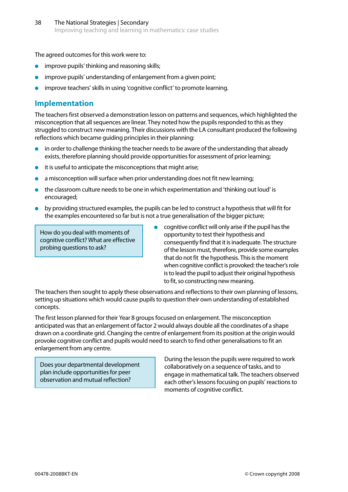The agreed outcomes for this work were to:

- improve pupils' thinking and reasoning skills;
- improve pupils' understanding of enlargement from a given point;
- improve teachers' skills in using 'cognitive conflict' to promote learning.

#### **Implementation**

The teachers first observed a demonstration lesson on patterns and sequences, which highlighted the misconception that all sequences are linear. They noted how the pupils responded to this as they struggled to construct new meaning. Their discussions with the LA consultant produced the following reflections which became guiding principles in their planning:

- in order to challenge thinking the teacher needs to be aware of the understanding that already exists, therefore planning should provide opportunities for assessment of prior learning;
- it is useful to anticipate the misconceptions that might arise;
- a misconception will surface when prior understanding does not fit new learning;
- the classroom culture needs to be one in which experimentation and 'thinking out loud' is encouraged;
- by providing structured examples, the pupils can be led to construct a hypothesis that will fit for the examples encountered so far but is not a true generalisation of the bigger picture;

How do you deal with moments of cognitive conflict? What are effective probing questions to ask?

● cognitive conflict will only arise if the pupil has the opportunity to test their hypothesis and consequently find that it is inadequate. The structure of the lesson must, therefore, provide some examples that do not fit the hypothesis. This is the moment when cognitive conflict is provoked: the teacher's role is to lead the pupil to adjust their original hypothesis to fit, so constructing new meaning.

The teachers then sought to apply these observations and reflections to their own planning of lessons, setting up situations which would cause pupils to question their own understanding of established concepts.

The first lesson planned for their Year 8 groups focused on enlargement. The misconception anticipated was that an enlargement of factor 2 would always double all the coordinates of a shape drawn on a coordinate grid. Changing the centre of enlargement from its position at the origin would provoke cognitive conflict and pupils would need to search to find other generalisations to fit an enlargement from any centre.

Does your departmental development plan include opportunities for peer observation and mutual reflection?

During the lesson the pupils were required to work collaboratively on a sequence of tasks, and to engage in mathematical talk. The teachers observed each other's lessons focusing on pupils' reactions to moments of cognitive conflict.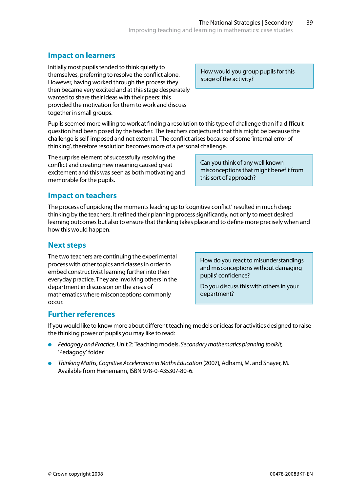stage of the activity?

### **Impact on learners**

Initially most pupils tended to think quietly to themselves, preferring to resolve the conflict alone. However, having worked through the process they then became very excited and at this stage desperately wanted to share their ideas with their peers: this provided the motivation for them to work and discuss together in small groups.

Pupils seemed more willing to work at finding a resolution to this type of challenge than if a difficult question had been posed by the teacher. The teachers conjectured that this might be because the challenge is self-imposed and not external. The conflict arises because of some 'internal error of thinking', therefore resolution becomes more of a personal challenge.

The surprise element of successfully resolving the conflict and creating new meaning caused great excitement and this was seen as both motivating and memorable for the pupils.

Can you think of any well known misconceptions that might benefit from this sort of approach?

How would you group pupils for this

#### **Impact on teachers**

The process of unpicking the moments leading up to 'cognitive conflict' resulted in much deep thinking by the teachers. It refined their planning process significantly, not only to meet desired learning outcomes but also to ensure that thinking takes place and to define more precisely when and how this would happen.

#### **Next steps**

The two teachers are continuing the experimental process with other topics and classes in order to embed constructivist learning further into their everyday practice. They are involving others in the department in discussion on the areas of mathematics where misconceptions commonly occur.

How do you react to misunderstandings and misconceptions without damaging pupils' confidence?

Do you discuss this with others in your department?

#### **Further references**

If you would like to know more about different teaching models or ideas for activities designed to raise the thinking power of pupils you may like to read:

- *Pedagogy and Practice*, Unit 2: Teaching models, *Secondary mathematics planning toolkit,* 'Pedagogy' folder
- *Thinking Maths, Cognitive Acceleration in Maths Education* (2007), Adhami, M. and Shayer, M. Available from Heinemann, ISBN 978-0-435307-80-6.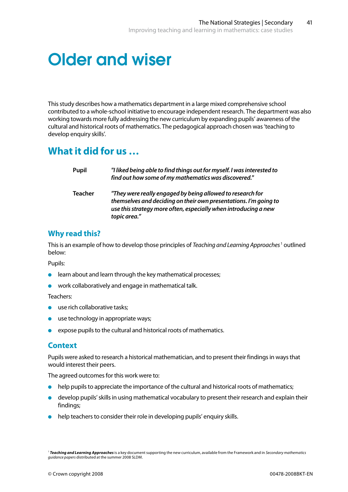# Older and wiser

This study describes how a mathematics department in a large mixed comprehensive school contributed to a whole-school initiative to encourage independent research. The department was also working towards more fully addressing the new curriculum by expanding pupils' awareness of the cultural and historical roots of mathematics. The pedagogical approach chosen was 'teaching to develop enquiry skills'.

## **What it did for us …**

| Pupil          | "I liked being able to find things out for myself. I was interested to<br>find out how some of my mathematics was discovered."                                                                                    |
|----------------|-------------------------------------------------------------------------------------------------------------------------------------------------------------------------------------------------------------------|
| <b>Teacher</b> | "They were really engaged by being allowed to research for<br>themselves and deciding on their own presentations. I'm going to<br>use this strategy more often, especially when introducing a new<br>topic area." |

#### **Why read this?**

This is an example of how to develop those principles of *Teaching and Learning Approaches* 1 outlined below:

Pupils:

- learn about and learn through the key mathematical processes;
- work collaboratively and engage in mathematical talk.

Teachers:

- use rich collaborative tasks;
- use technology in appropriate ways;
- expose pupils to the cultural and historical roots of mathematics.

#### **Context**

Pupils were asked to research a historical mathematician, and to present their findings in ways that would interest their peers.

The agreed outcomes for this work were to:

- help pupils to appreciate the importance of the cultural and historical roots of mathematics;
- develop pupils' skills in using mathematical vocabulary to present their research and explain their findings;
- help teachers to consider their role in developing pupils' enquiry skills.

1  *Teaching and Learning Approaches* is a key document supporting the new curriculum, available from the Framework and in *Secondary mathematics guidance papers* distributed at the summer 2008 SLDM.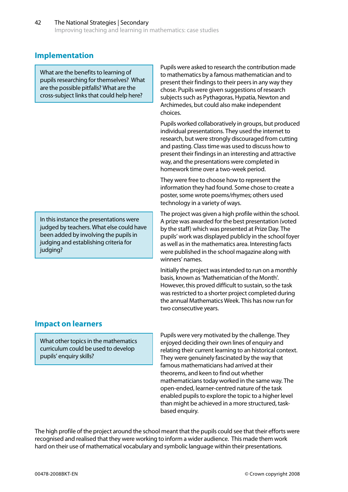### **Implementation**

What are the benefits to learning of pupils researching for themselves? What are the possible pitfalls? What are the cross-subject links that could help here?

In this instance the presentations were judged by teachers. What else could have been added by involving the pupils in judging and establishing criteria for judging?

Pupils were asked to research the contribution made to mathematics by a famous mathematician and to present their findings to their peers in any way they chose. Pupils were given suggestions of research subjects such as Pythagoras, Hypatia, Newton and Archimedes, but could also make independent choices.

Pupils worked collaboratively in groups, but produced individual presentations. They used the internet to research, but were strongly discouraged from cutting and pasting. Class time was used to discuss how to present their findings in an interesting and attractive way, and the presentations were completed in homework time over a two-week period.

They were free to choose how to represent the information they had found. Some chose to create a poster, some wrote poems/rhymes; others used technology in a variety of ways.

The project was given a high profile within the school. A prize was awarded for the best presentation (voted by the staff) which was presented at Prize Day. The pupils' work was displayed publicly in the school foyer as well as in the mathematics area. Interesting facts were published in the school magazine along with winners' names.

Initially the project was intended to run on a monthly basis, known as 'Mathematician of the Month'. However, this proved difficult to sustain, so the task was restricted to a shorter project completed during the annual Mathematics Week. This has now run for two consecutive years.

#### **Impact on learners**

What other topics in the mathematics curriculum could be used to develop pupils' enquiry skills?

Pupils were very motivated by the challenge. They enjoyed deciding their own lines of enquiry and relating their current learning to an historical context. They were genuinely fascinated by the way that famous mathematicians had arrived at their theorems, and keen to find out whether mathematicians today worked in the same way. The open-ended, learner-centred nature of the task enabled pupils to explore the topic to a higher level than might be achieved in a more structured, taskbased enquiry.

The high profile of the project around the school meant that the pupils could see that their efforts were recognised and realised that they were working to inform a wider audience. This made them work hard on their use of mathematical vocabulary and symbolic language within their presentations.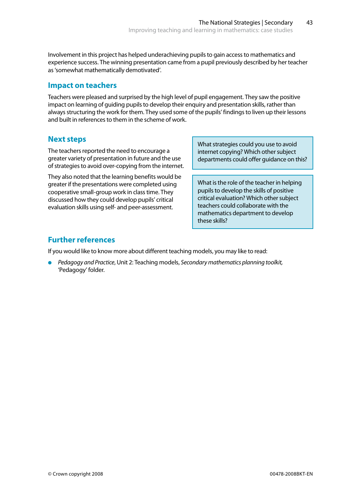Involvement in this project has helped underachieving pupils to gain access to mathematics and experience success. The winning presentation came from a pupil previously described by her teacher as 'somewhat mathematically demotivated'.

#### **Impact on teachers**

Teachers were pleased and surprised by the high level of pupil engagement. They saw the positive impact on learning of guiding pupils to develop their enquiry and presentation skills, rather than always structuring the work for them. They used some of the pupils' findings to liven up their lessons and built in references to them in the scheme of work.

#### **Next steps**

The teachers reported the need to encourage a greater variety of presentation in future and the use of strategies to avoid over-copying from the internet.

They also noted that the learning benefits would be greater if the presentations were completed using cooperative small-group work in class time. They discussed how they could develop pupils' critical evaluation skills using self- and peer-assessment.

What strategies could you use to avoid internet copying? Which other subject departments could offer guidance on this?

What is the role of the teacher in helping pupils to develop the skills of positive critical evaluation? Which other subject teachers could collaborate with the mathematics department to develop these skills?

#### **Further references**

If you would like to know more about different teaching models, you may like to read:

● *Pedagogy and Practice*, Unit 2: Teaching models, *Secondary mathematics planning toolkit,* 'Pedagogy' folder.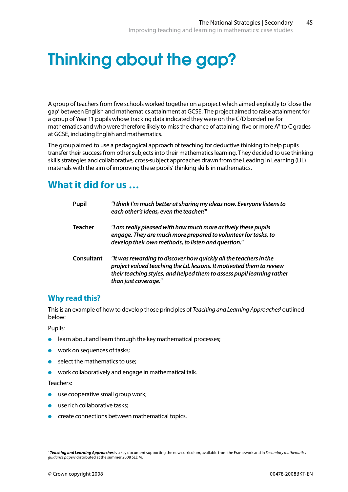# Thinking about the gap?

A group of teachers from five schools worked together on a project which aimed explicitly to 'close the gap' between English and mathematics attainment at GCSE. The project aimed to raise attainment for a group of Year 11 pupils whose tracking data indicated they were on the C/D borderline for mathematics and who were therefore likely to miss the chance of attaining five or more A\* to C grades at GCSE, including English and mathematics.

The group aimed to use a pedagogical approach of teaching for deductive thinking to help pupils transfer their success from other subjects into their mathematics learning. They decided to use thinking skills strategies and collaborative, cross-subject approaches drawn from the Leading in Learning (LiL) materials with the aim of improving these pupils' thinking skills in mathematics.

## **What it did for us …**

| Pupil      | "I think I'm much better at sharing my ideas now. Everyone listens to<br>each other's ideas, even the teacher!"                                                                                                                             |
|------------|---------------------------------------------------------------------------------------------------------------------------------------------------------------------------------------------------------------------------------------------|
| Teacher    | "I am really pleased with how much more actively these pupils<br>engage. They are much more prepared to volunteer for tasks, to<br>develop their own methods, to listen and question."                                                      |
| Consultant | "It was rewarding to discover how quickly all the teachers in the<br>project valued teaching the LiL lessons. It motivated them to review<br>their teaching styles, and helped them to assess pupil learning rather<br>than just coverage." |

#### **Why read this?**

This is an example of how to develop those principles of *Teaching and Learning Approaches*1 outlined below:

Pupils:

- learn about and learn through the key mathematical processes;
- work on sequences of tasks;
- select the mathematics to use;
- work collaboratively and engage in mathematical talk.

Teachers:

- use cooperative small group work;
- use rich collaborative tasks;
- create connections between mathematical topics.

1  *Teaching and Learning Approaches* is a key document supporting the new curriculum, available from the Framework and in *Secondary mathematics guidance papers* distributed at the summer 2008 SLDM.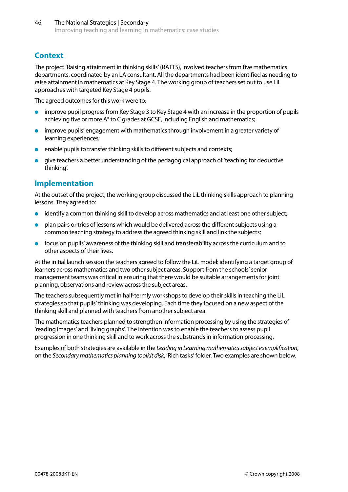## **Context**

The project 'Raising attainment in thinking skills' (RATTS), involved teachers from five mathematics departments, coordinated by an LA consultant. All the departments had been identified as needing to raise attainment in mathematics at Key Stage 4. The working group of teachers set out to use LiL approaches with targeted Key Stage 4 pupils.

The agreed outcomes for this work were to:

- improve pupil progress from Key Stage 3 to Key Stage 4 with an increase in the proportion of pupils achieving five or more A\* to C grades at GCSE, including English and mathematics;
- improve pupils' engagement with mathematics through involvement in a greater variety of learning experiences;
- enable pupils to transfer thinking skills to different subjects and contexts;
- give teachers a better understanding of the pedagogical approach of 'teaching for deductive thinking'.

#### **Implementation**

At the outset of the project, the working group discussed the LiL thinking skills approach to planning lessons. They agreed to:

- identify a common thinking skill to develop across mathematics and at least one other subject;
- plan pairs or trios of lessons which would be delivered across the different subjects using a common teaching strategy to address the agreed thinking skill and link the subjects;
- focus on pupils' awareness of the thinking skill and transferability across the curriculum and to other aspects of their lives.

At the initial launch session the teachers agreed to follow the LiL model: identifying a target group of learners across mathematics and two other subject areas. Support from the schools' senior management teams was critical in ensuring that there would be suitable arrangements for joint planning, observations and review across the subject areas.

The teachers subsequently met in half-termly workshops to develop their skills in teaching the LiL strategies so that pupils' thinking was developing. Each time they focused on a new aspect of the thinking skill and planned with teachers from another subject area.

The mathematics teachers planned to strengthen information processing by using the strategies of 'reading images' and 'living graphs'. The intention was to enable the teachers to assess pupil progression in one thinking skill and to work across the substrands in information processing.

Examples of both strategies are available in the *Leading in Learning mathematics subject exemplification*, on the *Secondary mathematics planning toolkit disk*, 'Rich tasks' folder. Two examples are shown below.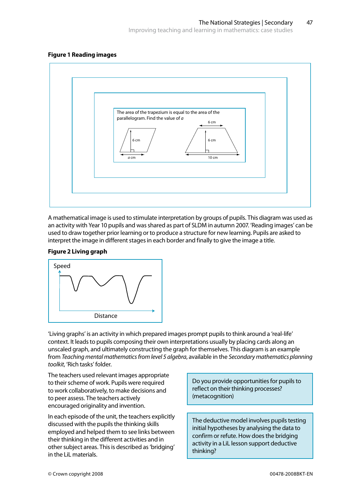



A mathematical image is used to stimulate interpretation by groups of pupils. This diagram was used as an activity with Year 10 pupils and was shared as part of SLDM in autumn 2007. 'Reading images' can be used to draw together prior learning or to produce a structure for new learning. Pupils are asked to interpret the image in different stages in each border and finally to give the image a title.

#### **Figure 2 Living graph**



'Living graphs' is an activity in which prepared images prompt pupils to think around a 'real-life' context. It leads to pupils composing their own interpretations usually by placing cards along an unscaled graph, and ultimately constructing the graph for themselves. This diagram is an example from *Teaching mental mathematics from level 5 algebra*, available in the *Secondary mathematics planning toolkit*, 'Rich tasks' folder.

The teachers used relevant images appropriate to their scheme of work. Pupils were required to work collaboratively, to make decisions and to peer assess. The teachers actively encouraged originality and invention.

In each episode of the unit, the teachers explicitly discussed with the pupils the thinking skills employed and helped them to see links between their thinking in the different activities and in other subject areas. This is described as 'bridging' in the LiL materials.

Do you provide opportunities for pupils to reflect on their thinking processes? (metacognition)

The deductive model involves pupils testing initial hypotheses by analysing the data to confirm or refute. How does the bridging activity in a LiL lesson support deductive thinking?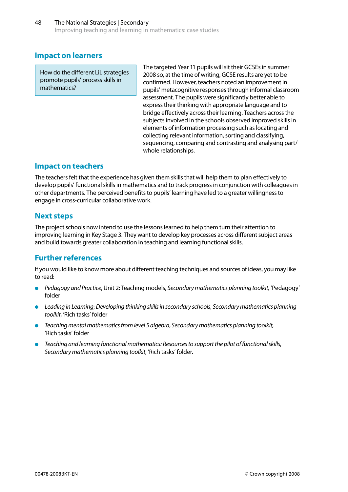#### **Impact on learners**

How do the different LiL strategies promote pupils' process skills in mathematics?

The targeted Year 11 pupils will sit their GCSEs in summer 2008 so, at the time of writing, GCSE results are yet to be confirmed. However, teachers noted an improvement in pupils' metacognitive responses through informal classroom assessment. The pupils were significantly better able to express their thinking with appropriate language and to bridge effectively across their learning. Teachers across the subjects involved in the schools observed improved skills in elements of information processing such as locating and collecting relevant information, sorting and classifying, sequencing, comparing and contrasting and analysing part/ whole relationships.

#### **Impact on teachers**

The teachers felt that the experience has given them skills that will help them to plan effectively to develop pupils' functional skills in mathematics and to track progress in conjunction with colleagues in other departments. The perceived benefits to pupils' learning have led to a greater willingness to engage in cross-curricular collaborative work.

#### **Next steps**

The project schools now intend to use the lessons learned to help them turn their attention to improving learning in Key Stage 3. They want to develop key processes across different subject areas and build towards greater collaboration in teaching and learning functional skills.

### **Further references**

If you would like to know more about different teaching techniques and sources of ideas, you may like to read:

- *Pedagogy and Practice*, Unit 2: Teaching models, *Secondary mathematics planning toolkit,* 'Pedagogy' folder
- *Leading in Learning*; *Developing thinking skills in secondary schools*, *Secondary mathematics planning toolkit*, 'Rich tasks' folder
- *Teaching mental mathematics from level 5 algebra*, *Secondary mathematics planning toolkit,* 'Rich tasks' folder
- *Teaching and learning functional mathematics: Resources to support the pilot of functional skills*, *Secondary mathematics planning toolkit*, 'Rich tasks' folder.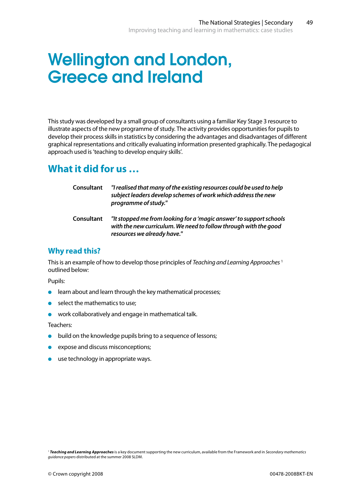# Wellington and London, Greece and Ireland

This study was developed by a small group of consultants using a familiar Key Stage 3 resource to illustrate aspects of the new programme of study. The activity provides opportunities for pupils to develop their process skills in statistics by considering the advantages and disadvantages of different graphical representations and critically evaluating information presented graphically. The pedagogical approach used is 'teaching to develop enquiry skills'.

## **What it did for us …**

- **Consultant** *"I realised that many of the existing resources could be used to help subject leaders develop schemes of work which address the new programme of study."*
- **Consultant** *"It stopped me from looking for a 'magic answer' to support schools with the new curriculum. We need to follow through with the good resources we already have."*

### **Why read this?**

This is an example of how to develop those principles of *Teaching and Learning Approaches* <sup>1</sup> outlined below:

Pupils:

- learn about and learn through the key mathematical processes;
- select the mathematics to use;
- work collaboratively and engage in mathematical talk.

Teachers:

- build on the knowledge pupils bring to a sequence of lessons;
- expose and discuss misconceptions;
- use technology in appropriate ways.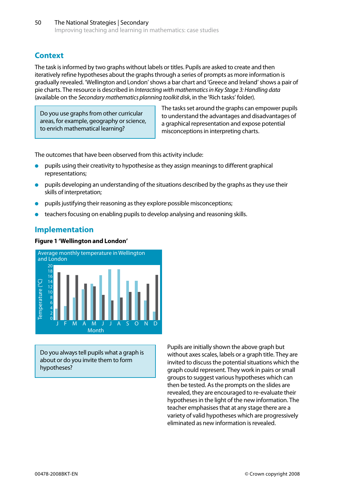### **Context**

The task is informed by two graphs without labels or titles. Pupils are asked to create and then iteratively refine hypotheses about the graphs through a series of prompts as more information is gradually revealed. 'Wellington and London' shows a bar chart and 'Greece and Ireland' shows a pair of pie charts. The resource is described in *Interacting with mathematics in Key Stage 3: Handling data* (available on the *Secondary mathematics planning toolkit disk*, in the 'Rich tasks' folder).

Do you use graphs from other curricular areas, for example, geography or science, to enrich mathematical learning?

The tasks set around the graphs can empower pupils to understand the advantages and disadvantages of a graphical representation and expose potential misconceptions in interpreting charts.

The outcomes that have been observed from this activity include:

- pupils using their creativity to hypothesise as they assign meanings to different graphical representations;
- pupils developing an understanding of the situations described by the graphs as they use their skills of interpretation;
- pupils justifying their reasoning as they explore possible misconceptions;
- teachers focusing on enabling pupils to develop analysing and reasoning skills.

#### **Implementation**

#### **Figure 1 'Wellington and London'**



Do you always tell pupils what a graph is about or do you invite them to form hypotheses?

Pupils are initially shown the above graph but without axes scales, labels or a graph title. They are invited to discuss the potential situations which the graph could represent. They work in pairs or small groups to suggest various hypotheses which can then be tested. As the prompts on the slides are revealed, they are encouraged to re-evaluate their hypotheses in the light of the new information. The teacher emphasises that at any stage there are a variety of valid hypotheses which are progressively eliminated as new information is revealed.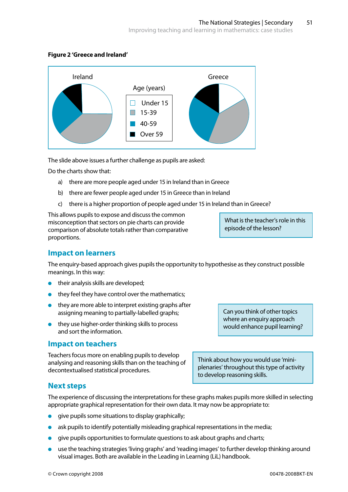

#### **Figure 2 'Greece and Ireland'**

The slide above issues a further challenge as pupils are asked:

Do the charts show that:

- a) there are more people aged under 15 in Ireland than in Greece
- b) there are fewer people aged under 15 in Greece than in Ireland
- c) there is a higher proportion of people aged under 15 in Ireland than in Greece?

This allows pupils to expose and discuss the common misconception that sectors on pie charts can provide comparison of absolute totals rather than comparative proportions.

What is the teacher's role in this episode of the lesson?

#### **Impact on learners**

The enquiry-based approach gives pupils the opportunity to hypothesise as they construct possible meanings. In this way:

- their analysis skills are developed;
- they feel they have control over the mathematics;
- they are more able to interpret existing graphs after assigning meaning to partially-labelled graphs;
- they use higher-order thinking skills to process and sort the information.

#### **Impact on teachers**

Teachers focus more on enabling pupils to develop analysing and reasoning skills than on the teaching of decontextualised statistical procedures.

Can you think of other topics where an enquiry approach would enhance pupil learning?

Think about how you would use 'miniplenaries' throughout this type of activity to develop reasoning skills.

#### **Next steps**

The experience of discussing the interpretations for these graphs makes pupils more skilled in selecting appropriate graphical representation for their own data. It may now be appropriate to:

- give pupils some situations to display graphically;
- ask pupils to identify potentially misleading graphical representations in the media;
- give pupils opportunities to formulate questions to ask about graphs and charts;
- use the teaching strategies 'living graphs' and 'reading images' to further develop thinking around visual images. Both are available in the Leading in Learning (LiL) handbook.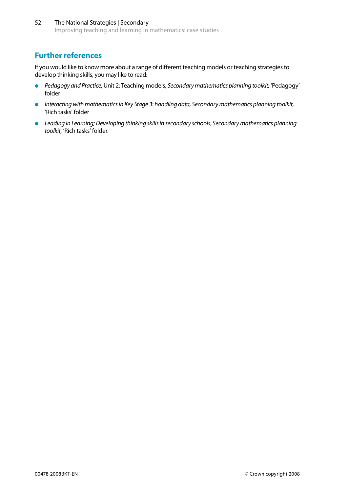## **Further references**

If you would like to know more about a range of different teaching models or teaching strategies to develop thinking skills, you may like to read:

- *Pedagogy and Practice*, Unit 2: Teaching models, *Secondary mathematics planning toolkit,* 'Pedagogy' folder
- *Interacting with mathematics in Key Stage 3: handling data, Secondary mathematics planning toolkit,* 'Rich tasks' folder
- *Leading in Learning; Developing thinking skills in secondary schools*, *Secondary mathematics planning toolkit,* 'Rich tasks' folder.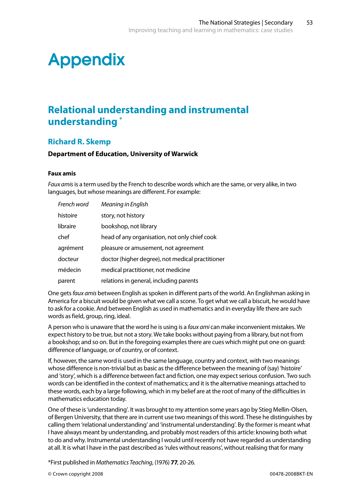# Appendix

## **Relational understanding and instrumental understanding \***

### **Richard R. Skemp**

#### **Department of Education, University of Warwick**

#### **Faux amis**

*Faux amis* is a term used by the French to describe words which are the same, or very alike, in two languages, but whose meanings are different. For example:

| French word | Meaning in English                               |
|-------------|--------------------------------------------------|
| histoire    | story, not history                               |
| libraire    | bookshop, not library                            |
| chef        | head of any organisation, not only chief cook    |
| agrément    | pleasure or amusement, not agreement             |
| docteur     | doctor (higher degree), not medical practitioner |
| médecin     | medical practitioner, not medicine               |
| parent      | relations in general, including parents          |

One gets *faux amis* between English as spoken in different parts of the world. An Englishman asking in America for a biscuit would be given what we call a scone. To get what we call a biscuit, he would have to ask for a cookie. And between English as used in mathematics and in everyday life there are such words as field, group, ring, ideal.

A person who is unaware that the word he is using is a *faux ami* can make inconvenient mistakes. We expect history to be true, but not a story. We take books without paying from a library, but not from a bookshop; and so on. But in the foregoing examples there are cues which might put one on guard: difference of language, or of country, or of context.

If, however, the same word is used in the same language, country and context, with two meanings whose difference is non-trivial but as basic as the difference between the meaning of (say) 'histoire' and 'story', which is a difference between fact and fiction, one may expect serious confusion. Two such words can be identified in the context of mathematics; and it is the alternative meanings attached to these words, each by a large following, which in my belief are at the root of many of the difficulties in mathematics education today.

One of these is 'understanding'. It was brought to my attention some years ago by Stieg Mellin-Olsen, of Bergen University, that there are in current use two meanings of this word. These he distinguishes by calling them 'relational understanding' and 'instrumental understanding'. By the former is meant what I have always meant by understanding, and probably most readers of this article: knowing both what to do and why. Instrumental understanding I would until recently not have regarded as understanding at all. It is what I have in the past described as 'rules without reasons', without realising that for many

\*First published in *Mathematics Teaching*, (1976) **77**, 20-26.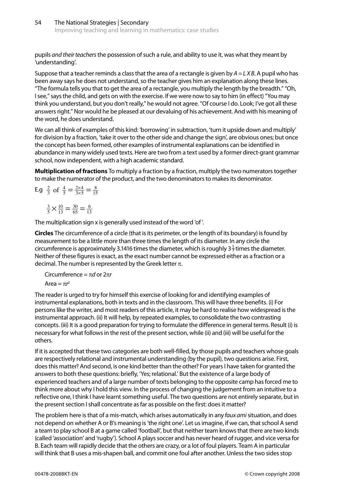pupils *and their teachers* the possession of such a rule, and ability to use it, was what they meant by papils and their teachers are possession or sach a rare, and dollary to dse it, mas thrat and y<br>'understanding'.

Suppose that a teacher reminds a class that the area of a rectangle is given by  $A = L X B$ . A pupil who has been away says he does not understand, so the teacher gives him an explanation along these lines. "The formula tells you that to get the area of a rectangle, you multiply the length by the breadth." "Oh, I ne formula tells you that to get the area or a rectangle, you multiply the length by the breadth. O<br>I see," says the child, and gets on with the exercise. If we were now to say to him (in effect) "You may think you understand, but you don't really," he would not agree. "Of course I do. Look; I've got all these think you understand, but you don't really," he would not agree. "Of course I do. Look; I've got all these answers right." Nor would he be pleased at our devaluing of his achievement. And with his meaning of the word, he does understand.  $m_{\text{eff}}$  is word, he does difderstand.

We can all think of examples of this kind: 'borrowing' in subtraction, 'turn it upside down and multiply' we can all think of examples of this kind: 'borrowing' in subtraction, 'turn'it upside down and multiply<br>for division by a fraction, 'take it over to the other side and change the sign', are obvious ones; but once the concept has been formed, other examples of instrumental explanations can be identified in abundance in many widely used texts. Here are two from a text used by a former direct-grant grammar school, now independent, with a high academic standard.

**Multiplication of fractions** To multiply a fraction by a fraction, multiply the two numerators together to make the numerator of the product, and the two denominators to makes its denominator. to makes its denominator.

E.g 
$$
\frac{2}{3}
$$
 of  $\frac{4}{5} = \frac{2 \times 4}{3 \times 5} = \frac{8}{15}$   
 $\frac{3}{5} \times \frac{10}{13} = \frac{30}{65} = \frac{6}{13}$ 

65

13

5

The multiplication sign x is generally used instead of the word 'of '. The multiplication sign ¥ is generally used instead of the word 'of'.

**Circles** The circumference of a circle (that is its perimeter, or the length of its boundary) is found by measurement to be a little more than three times the length of its diameter. In any circle the circumference is approximately 3.1416 times the diameter, which is roughly  $3\frac{1}{7}$  times the diameter.<br>Naither of these finance is such as the sun t number served be surroughed sither as a fraction and Neither of these figures is exact, as the exact number cannot be expressed either as a fraction or a decimal. The number is represented by the Greek letter  $\pi$ .

Circumference = 
$$
\pi d
$$
 or  $2\pi r$   
Area =  $\pi r^2$ 

The reader is urged to try for himself this exercise of looking for and identifying examples of instrumental explanations, both in texts and in the classroom. This will have three benefits. (i) For persons like the writer, and most readers of this article, it may be hard to realise how widespread is the instrumental approach. (ii) It will help, by repeated examples, to consolidate the two contrasting concepts. (iii) It is a good preparation for trying to formulate the difference in general terms. Result (i) is necessary for what follows in the rest of the present section, while (ii) and (iii) will be useful for the others.

If it is accepted that these two categories are both well-filled, by those pupils and teachers whose goals are respectively relational and instrumental understanding (by the pupil), two questions arise. First, does this matter? And second, is one kind better than the other? For years I have taken for granted the answers to both these questions: briefly, 'Yes; relational.' But the existence of a large body of experienced teachers and of a large number of texts belonging to the opposite camp has forced me to think more about why I hold this view. In the process of changing the judgement from an intuitive to a reflective one, I think I have learnt something useful. The two questions are not entirely separate, but in the present section I shall concentrate as far as possible on the first: does it matter?

The problem here is that of a mis-match, which arises automatically in any *faux ami* situation, and does not depend on whether A or B's meaning is 'the right one'. Let us imagine, if we can, that school A send a team to play school B at a game called 'football', but that neither team knows that there are two kinds (called 'association' and 'rugby'). School A plays soccer and has never heard of rugger, and vice versa for B. Each team will rapidly decide that the others are crazy, or a lot of foul players. Team A in particular will think that B uses a mis-shapen ball, and commit one foul after another. Unless the two sides stop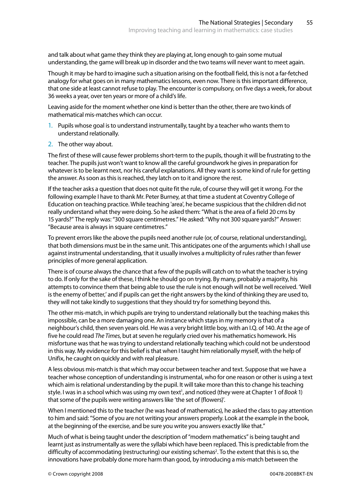and talk about what game they think they are playing at, long enough to gain some mutual understanding, the game will break up in disorder and the two teams will never want to meet again.

Though it may be hard to imagine such a situation arising on the football field, this is not a far-fetched analogy for what goes on in many mathematics lessons, even now. There is this important difference, that one side at least cannot refuse to play. The encounter is compulsory, on five days a week, for about 36 weeks a year, over ten years or more of a child's life.

Leaving aside for the moment whether one kind is better than the other, there are two kinds of mathematical mis-matches which can occur.

- 1. Pupils whose goal is to understand instrumentally, taught by a teacher who wants them to understand relationally.
- 2. The other way about.

The first of these will cause fewer problems short-term to the pupils, though it will be frustrating to the teacher. The pupils just won't want to know all the careful groundwork he gives in preparation for whatever is to be learnt next, nor his careful explanations. All they want is some kind of rule for getting the answer. As soon as this is reached, they latch on to it and ignore the rest.

If the teacher asks a question that does not quite fit the rule, of course they will get it wrong. For the following example I have to thank Mr. Peter Burney, at that time a student at Coventry College of Education on teaching practice. While teaching 'area', he became suspicious that the children did not really understand what they were doing. So he asked them: "What is the area of a field 20 cms by 15 yards?" The reply was: "300 square centimetres." He asked: "Why not 300 square yards?" Answer: "Because area is always in square centimetres."

To prevent errors like the above the pupils need another rule (or, of course, relational understanding), that both dimensions must be in the same unit. This anticipates one of the arguments which I shall use against instrumental understanding, that it usually involves a multiplicity of rules rather than fewer principles of more general application.

There is of course always the chance that a few of the pupils will catch on to what the teacher is trying to do. If only for the sake of these, I think he should go on trying. By many, probably a majority, his attempts to convince them that being able to use the rule is not enough will not be well received. 'Well is the enemy of better,' and if pupils can get the right answers by the kind of thinking they are used to, they will not take kindly to suggestions that they should try for something beyond this.

The other mis-match, in which pupils are trying to understand relationally but the teaching makes this impossible, can be a more damaging one. An instance which stays in my memory is that of a neighbour's child, then seven years old. He was a very bright little boy, with an I.Q. of 140. At the age of five he could read *The Times*, but at seven he regularly cried over his mathematics homework. His misfortune was that he was trying to understand relationally teaching which could not be understood in this way. My evidence for this belief is that when I taught him relationally myself, with the help of Unifix, he caught on quickly and with real pleasure.

A less obvious mis-match is that which may occur between teacher and text. Suppose that we have a teacher whose conception of understanding is instrumental, who for one reason or other is using a text which aim is relational understanding by the pupil. It will take more than this to change his teaching style. I was in a school which was using my own text<sup>1</sup>, and noticed (they were at Chapter 1 of *Book* 1) that some of the pupils were writing answers like 'the set of {flowers}'.

When I mentioned this to the teacher (he was head of mathematics), he asked the class to pay attention to him and said: "Some of you are not writing your answers properly. Look at the example in the book, at the beginning of the exercise, and be sure you write you answers exactly like that."

Much of what is being taught under the description of "modern mathematics" is being taught and learnt just as instrumentally as were the syllabi which have been replaced. This is predictable from the difficulty of accommodating (restructuring) our existing schemas<sup>2</sup>. To the extent that this is so, the innovations have probably done more harm than good, by introducing a mis-match between the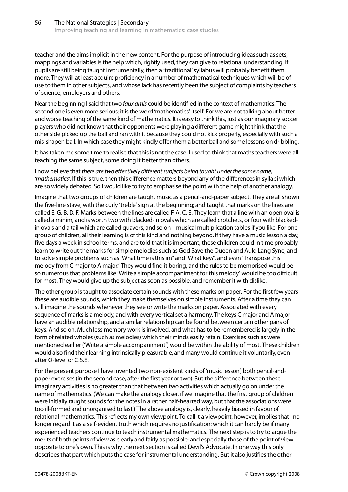teacher and the aims implicit in the new content. For the purpose of introducing ideas such as sets, mappings and variables is the help which, rightly used, they can give to relational understanding. If pupils are still being taught instrumentally, then a 'traditional' syllabus will probably benefit them more. They will at least acquire proficiency in a number of mathematical techniques which will be of use to them in other subjects, and whose lack has recently been the subject of complaints by teachers of science, employers and others.

Near the beginning I said that two *faux amis* could be identified in the context of mathematics. The second one is even more serious; it is the word 'mathematics' itself. For we are not talking about better and worse teaching of the same kind of mathematics. It is easy to think this, just as our imaginary soccer players who did not know that their opponents were playing a different game might think that the other side picked up the ball and ran with it because they could not kick properly, especially with such a mis-shapen ball. In which case they might kindly offer them a better ball and some lessons on dribbling.

It has taken me some time to realise that this is not the case. I used to think that maths teachers were all teaching the same subject, some doing it better than others.

I now believe that *there are two effectively different subjects being taught under the same name, 'mathematics'.* If this is true, then this difference matters beyond any of the differences in syllabi which are so widely debated. So I would like to try to emphasise the point with the help of another analogy.

Imagine that two groups of children are taught music as a pencil-and-paper subject. They are all shown the five-line stave, with the curly 'treble' sign at the beginning; and taught that marks on the lines are called E, G, B, D, F. Marks between the lines are called F, A, C, E. They learn that a line with an open oval is called a minim, and is worth two with blacked-in ovals which are called crotchets, or four with blackedin ovals and a tail which are called quavers, and so on – musical multiplication tables if you like. For one group of children, all their learning is of this kind and nothing beyond. If they have a music lesson a day, five days a week in school terms, and are told that it is important, these children could in time probably learn to write out the marks for simple melodies such as God Save the Queen and Auld Lang Syne, and to solve simple problems such as 'What time is this in?' and 'What key?', and even 'Transpose this melody from C major to A major.' They would find it boring, and the rules to be memorised would be so numerous that problems like 'Write a simple accompaniment for this melody' would be too difficult for most. They would give up the subject as soon as possible, and remember it with dislike.

The other group is taught to associate certain sounds with these marks on paper. For the first few years these are audible sounds, which they make themselves on simple instruments. After a time they can still imagine the sounds whenever they see or write the marks on paper. Associated with every sequence of marks is a melody, and with every vertical set a harmony. The keys C major and A major have an audible relationship, and a similar relationship can be found between certain other pairs of keys. And so on. Much less memory work is involved, and what has to be remembered is largely in the form of related wholes (such as melodies) which their minds easily retain. Exercises such as were mentioned earlier ('Write a simple accompaniment') would be within the ability of most. These children would also find their learning intrinsically pleasurable, and many would continue it voluntarily, even after O-level or C.S.E.

For the present purpose I have invented two non-existent kinds of 'music lesson', both pencil-andpaper exercises (in the second case, after the first year or two). But the difference between these imaginary activities is no greater than that between two activities which actually go on under the name of mathematics. (We can make the analogy closer, if we imagine that the first group of children were initially taught sounds for the notes in a rather half-hearted way, but that the associations were too ill-formed and unorganised to last.) The above analogy is, clearly, heavily biased in favour of relational mathematics. This reflects my own viewpoint. To call it a viewpoint, however, implies that I no longer regard it as a self-evident truth which requires no justification: which it can hardly be if many experienced teachers continue to teach instrumental mathematics. The next step is to try to argue the merits of both points of view as clearly and fairly as possible; and especially those of the point of view opposite to one's own. This is why the next section is called Devil's Advocate. In one way this only describes that part which puts the case for instrumental understanding. But it also justifies the other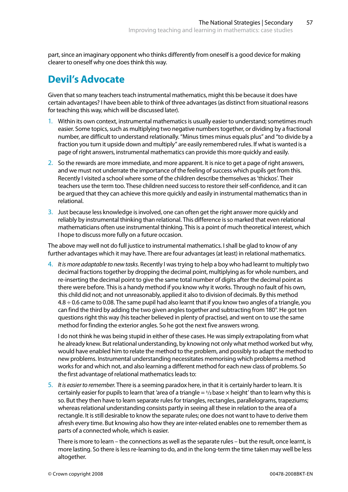part, since an imaginary opponent who thinks differently from oneself is a good device for making clearer to oneself why one does think this way.

# **Devil's Advocate**

Given that so many teachers teach instrumental mathematics, might this be because it does have certain advantages? I have been able to think of three advantages (as distinct from situational reasons for teaching this way, which will be discussed later).

- 1. Within its own context, instrumental mathematics is usually easier to understand; sometimes much easier. Some topics, such as multiplying two negative numbers together, or dividing by a fractional number, are difficult to understand relationally. "Minus times minus equals plus" and "to divide by a fraction you turn it upside down and multiply" are easily remembered rules. If what is wanted is a page of right answers, instrumental mathematics can provide this more quickly and easily.
- 2. So the rewards are more immediate, and more apparent. It is nice to get a page of right answers, and we must not underrate the importance of the feeling of success which pupils get from this. Recently I visited a school where some of the children describe themselves as 'thickos'. Their teachers use the term too. These children need success to restore their self-confidence, and it can be argued that they can achieve this more quickly and easily in instrumental mathematics than in relational.
- 3. Just because less knowledge is involved, one can often get the right answer more quickly and reliably by instrumental thinking than relational. This difference is so marked that even relational mathematicians often use instrumental thinking. This is a point of much theoretical interest, which I hope to discuss more fully on a future occasion.

The above may well not do full justice to instrumental mathematics. I shall be glad to know of any further advantages which it may have. There are four advantages (at least) in relational mathematics.

4. *It is more adaptable to new tasks*. Recently I was trying to help a boy who had learnt to multiply two decimal fractions together by dropping the decimal point, multiplying as for whole numbers, and re-inserting the decimal point to give the same total number of digits after the decimal point as there were before. This is a handy method if you know why it works. Through no fault of his own, this child did not; and not unreasonably, applied it also to division of decimals. By this method  $4.8 \div 0.6$  came to 0.08. The same pupil had also learnt that if you know two angles of a triangle, you can find the third by adding the two given angles together and subtracting from 180°. He got ten questions right this way (his teacher believed in plenty of practise), and went on to use the same method for finding the exterior angles. So he got the next five answers wrong.

 I do not think he was being stupid in either of these cases. He was simply extrapolating from what he already knew. But relational understanding, by knowing not only what method worked but why, would have enabled him to relate the method to the problem, and possibly to adapt the method to new problems. Instrumental understanding necessitates memorising which problems a method works for and which not, and also learning a different method for each new class of problems. So the first advantage of relational mathematics leads to:

5. *It is easier to remember*. There is a seeming paradox here, in that it is certainly harder to learn. It is certainly easier for pupils to learn that 'area of a triangle = **1**/**2** base × height' than to learn why this is so. But they then have to learn separate rules for triangles, rectangles, parallelograms, trapeziums; whereas relational understanding consists partly in seeing all these in relation to the area of a rectangle. It is still desirable to know the separate rules; one does not want to have to derive them afresh every time. But knowing also how they are inter-related enables one to remember them as parts of a connected whole, which is easier.

 There is more to learn – the connections as well as the separate rules – but the result, once learnt, is more lasting. So there is less re-learning to do, and in the long-term the time taken may well be less altogether.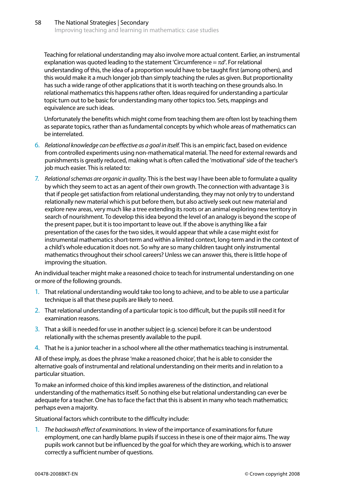Teaching for relational understanding may also involve more actual content. Earlier, an instrumental explanation was quoted leading to the statement 'Circumference  $=\pi d'$ . For relational understanding of this, the idea of a proportion would have to be taught first (among others), and this would make it a much longer job than simply teaching the rules as given. But proportionality has such a wide range of other applications that it is worth teaching on these grounds also. In relational mathematics this happens rather often. Ideas required for understanding a particular topic turn out to be basic for understanding many other topics too. Sets, mappings and equivalence are such ideas.

 Unfortunately the benefits which might come from teaching them are often lost by teaching them as separate topics, rather than as fundamental concepts by which whole areas of mathematics can be interrelated.

- 6. *Relational knowledge can be effective as a goal in itself.* This is an empiric fact, based on evidence from controlled experiments using non-mathematical material. The need for external rewards and punishments is greatly reduced, making what is often called the 'motivational' side of the teacher's job much easier. This is related to:
- 7. *Relational schemas are organic in quality*. This is the best way I have been able to formulate a quality by which they seem to act as an agent of their own growth*.* The connection with advantage 3 is that if people get satisfaction from relational understanding, they may not only try to understand relationally new material which is put before them, but also actively seek out new material and explore new areas, very much like a tree extending its roots or an animal exploring new territory in search of nourishment. To develop this idea beyond the level of an analogy is beyond the scope of the present paper, but it is too important to leave out. If the above is anything like a fair presentation of the cases for the two sides, it would appear that while a case might exist for instrumental mathematics short-term and within a limited context, long-term and in the context of a child's whole education it does not. So why are so many children taught only instrumental mathematics throughout their school careers? Unless we can answer this, there is little hope of improving the situation.

An individual teacher might make a reasoned choice to teach for instrumental understanding on one or more of the following grounds.

- 1. That relational understanding would take too long to achieve, and to be able to use a particular technique is all that these pupils are likely to need.
- 2. That relational understanding of a particular topic is too difficult, but the pupils still need it for examination reasons.
- 3. That a skill is needed for use in another subject (e.g. science) before it can be understood relationally with the schemas presently available to the pupil.
- 4. That he is a junior teacher in a school where all the other mathematics teaching is instrumental.

All of these imply, as does the phrase 'make a reasoned choice', that he is able to consider the alternative goals of instrumental and relational understanding on their merits and in relation to a particular situation.

To make an informed choice of this kind implies awareness of the distinction, and relational understanding of the mathematics itself. So nothing else but relational understanding can ever be adequate for a teacher. One has to face the fact that this is absent in many who teach mathematics; perhaps even a majority.

Situational factors which contribute to the difficulty include:

1. *The backwash effect of examinations*. In view of the importance of examinations for future employment, one can hardly blame pupils if success in these is one of their major aims. The way pupils work cannot but be influenced by the goal for which they are working, which is to answer correctly a sufficient number of questions.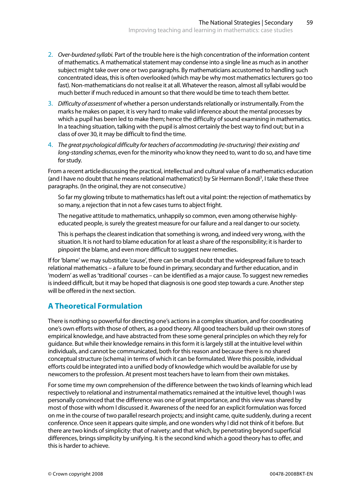- 2. *Over-burdened syllabi.* Part of the trouble here is the high concentration of the information content of mathematics. A mathematical statement may condense into a single line as much as in another subject might take over one or two paragraphs. By mathematicians accustomed to handling such concentrated ideas, this is often overlooked (which may be why most mathematics lecturers go too fast). Non-mathematicians do not realise it at all. Whatever the reason, almost all syllabi would be much better if much reduced in amount so that there would be time to teach them better.
- 3. *Difficulty of assessment* of whether a person understands relationally or instrumentally. From the marks he makes on paper, it is very hard to make valid inference about the mental processes by which a pupil has been led to make them; hence the difficulty of sound examining in mathematics. In a teaching situation, talking with the pupil is almost certainly the best way to find out; but in a class of over 30, it may be difficult to find the time.
- 4. *The great psychological difficulty for teachers of accommodating (re-structuring) their existing and long-standing schemas*, even for the minority who know they need to, want to do so, and have time for study.

From a recent articlediscussing the practical, intellectual and cultural value of a mathematics education (and I have no doubt that he means relational mathematics!) by Sir Hermann Bondi<sup>3</sup>, I take these three paragraphs. (In the original, they are not consecutive.)

So far my glowing tribute to mathematics has left out a vital point: the rejection of mathematics by so many, a rejection that in not a few cases turns to abject fright.

The negative attitude to mathematics, unhappily so common, even among otherwise highlyeducated people, is surely the greatest measure for our failure and a real danger to our society.

This is perhaps the clearest indication that something is wrong, and indeed very wrong, with the situation. It is not hard to blame education for at least a share of the responsibility; it is harder to pinpoint the blame, and even more difficult to suggest new remedies.

If for 'blame' we may substitute 'cause', there can be small doubt that the widespread failure to teach relational mathematics – a failure to be found in primary, secondary and further education, and in 'modern' as well as 'traditional' courses – can be identified as a major cause. To suggest new remedies is indeed difficult, but it may be hoped that diagnosis is one good step towards a cure. Another step will be offered in the next section.

### **A Theoretical Formulation**

There is nothing so powerful for directing one's actions in a complex situation, and for coordinating one's own efforts with those of others, as a good theory. All good teachers build up their own stores of empirical knowledge, and have abstracted from these some general principles on which they rely for guidance. But while their knowledge remains in this form it is largely still at the intuitive level within individuals, and cannot be communicated, both for this reason and because there is no shared conceptual structure (schema) in terms of which it can be formulated. Were this possible, individual efforts could be integrated into a unified body of knowledge which would be available for use by newcomers to the profession. At present most teachers have to learn from their own mistakes.

For some time my own comprehension of the difference between the two kinds of learning which lead respectively to relational and instrumental mathematics remained at the intuitive level, though I was personally convinced that the difference was one of great importance, and this view was shared by most of those with whom I discussed it. Awareness of the need for an explicit formulation was forced on me in the course of two parallel research projects; and insight came, quite suddenly, during a recent conference. Once seen it appears quite simple, and one wonders why I did not think of it before. But there are two kinds of simplicity: that of naivety; and that which, by penetrating beyond superficial differences, brings simplicity by unifying. It is the second kind which a good theory has to offer, and this is harder to achieve.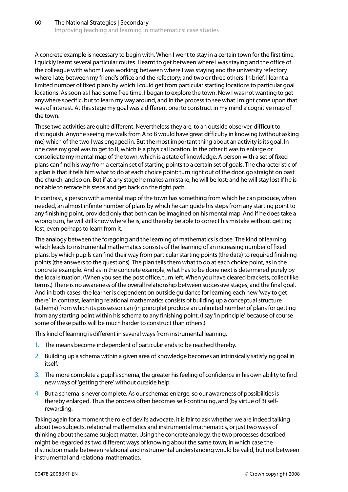A concrete example is necessary to begin with. When I went to stay in a certain town for the first time, I quickly learnt several particular routes. I learnt to get between where I was staying and the office of the colleague with whom I was working; between where I was staying and the university refectory where I ate; between my friend's office and the refectory; and two or three others. In brief, I learnt a limited number of fixed plans by which I could get from particular starting locations to particular goal locations. As soon as I had some free time, I began to explore the town. Now I was not wanting to get anywhere specific, but to learn my way around, and in the process to see what I might come upon that was of interest. At this stage my goal was a different one: to construct in my mind a cognitive map of the town.

These two activities are quite different. Nevertheless they are, to an outside observer, difficult to distinguish. Anyone seeing me walk from A to B would have great difficulty in knowing (without asking me) which of the two I was engaged in. But the most important thing about an activity is its goal. In one case my goal was to get to B, which is a physical location. In the other it was to enlarge or consolidate my mental map of the town, which is a state of knowledge. A person with a set of fixed plans can find his way from a certain set of starting points to a certain set of goals. The characteristic of a plan is that it tells him what to do at each choice point: turn right out of the door, go straight on past the church, and so on. But if at any stage he makes a mistake, he will be lost; and he will stay lost if he is not able to retrace his steps and get back on the right path.

In contrast, a person with a mental map of the town has something from which he can produce, when needed, an almost infinite number of plans by which he can guide his steps from any starting point to any finishing point, provided only that both can be imagined on his mental map. And if he does take a wrong turn, he will still know where he is, and thereby be able to correct his mistake without getting lost; even perhaps to learn from it.

The analogy between the foregoing and the learning of mathematics is close. The kind of learning which leads to instrumental mathematics consists of the learning of an increasing number of fixed plans, by which pupils can find their way from particular starting points (the data) to required finishing points (the answers to the questions). The plan tells them what to do at each choice point, as in the concrete example. And as in the concrete example, what has to be done next is determined purely by the local situation. (When you see the post office, turn left. When you have cleared brackets, collect like terms.) There is no awareness of the overall relationship between successive stages, and the final goal. And in both cases, the learner is dependent on outside guidance for learning each new 'way to get there'. In contrast, learning relational mathematics consists of building up a conceptual structure (schema) from which its possessor can (in principle) produce an unlimited number of plans for getting from any starting point within his schema to any finishing point. (I say 'in principle' because of course some of these paths will be much harder to construct than others.)

This kind of learning is different in several ways from instrumental learning.

- 1. The means become independent of particular ends to be reached thereby.
- 2. Building up a schema within a given area of knowledge becomes an intrinsically satisfying goal in itself.
- 3. The more complete a pupil's schema, the greater his feeling of confidence in his own ability to find new ways of 'getting there' without outside help.
- 4. But a schema is never complete. As our schemas enlarge, so our awareness of possibilities is thereby enlarged. Thus the process often becomes self-continuing, and (by virtue of 3) selfrewarding.

Taking again for a moment the role of devil's advocate, it is fair to ask whether we are indeed talking about two subjects, relational mathematics and instrumental mathematics, or just two ways of thinking about the same subject matter. Using the concrete analogy, the two processes described might be regarded as two different ways of knowing about the same town; in which case the distinction made between relational and instrumental understanding would be valid, but not between instrumental and relational mathematics.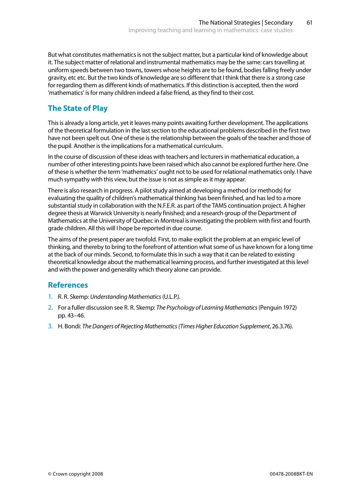But what constitutes mathematics is not the subject matter, but a particular kind of knowledge about it. The subject matter of relational and instrumental mathematics may be the same: cars travelling at uniform speeds between two towns, towers whose heights are to be found, bodies falling freely under gravity, etc etc. But the two kinds of knowledge are so different that I think that there is a strong case for regarding them as different kinds of mathematics. If this distinction is accepted, then the word 'mathematics' is for many children indeed a false friend, as they find to their cost.

## **The State of Play**

This is already a long article, yet it leaves many points awaiting further development. The applications of the theoretical formulation in the last section to the educational problems described in the first two have not been spelt out. One of these is the relationship between the goals of the teacher and those of the pupil. Another is the implications for a mathematical curriculum.

In the course of discussion of these ideas with teachers and lecturers in mathematical education, a number of other interesting points have been raised which also cannot be explored further here. One of these is whether the term 'mathematics' ought not to be used for relational mathematics only. I have much sympathy with this view, but the issue is not as simple as it may appear.

There is also research in progress. A pilot study aimed at developing a method (or methods) for evaluating the quality of children's mathematical thinking has been finished, and has led to a more substantial study in collaboration with the N.F.E.R. as part of the TAMS continuation project. A higher degree thesis at Warwick University is nearly finished; and a research group of the Department of Mathematics at the University of Quebec in Montreal is investigating the problem with first and fourth grade children. All this will I hope be reported in due course.

The aims of the present paper are twofold. First, to make explicit the problem at an empiric level of thinking, and thereby to bring to the forefront of attention what some of us have known for a long time at the back of our minds. Second, to formulate this in such a way that it can be related to existing theoretical knowledge about the mathematical learning process, and further investigated at this level and with the power and generality which theory alone can provide.

#### **References**

- 1. R. R. Skemp: *Understanding Mathematics* (U.L.P.).
- 2. For a fuller discussion see R. R. Skemp: *The Psychology of Learning Mathematics* (Penguin 1972) pp. 43–46.
- 3. H. Bondi: *The Dangers of Rejecting Mathematics(Times Higher Education Supplement*, 26.3.76).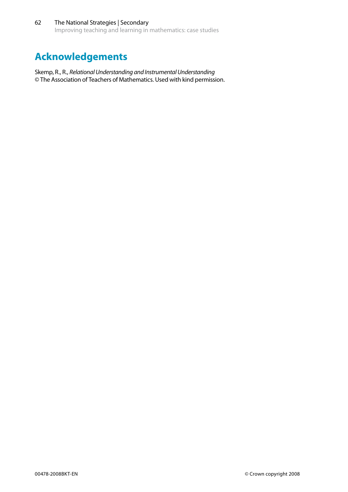# **Acknowledgements**

Skemp, R., R., *Relational Understanding and Instrumental Understanding* © The Association of Teachers of Mathematics. Used with kind permission.